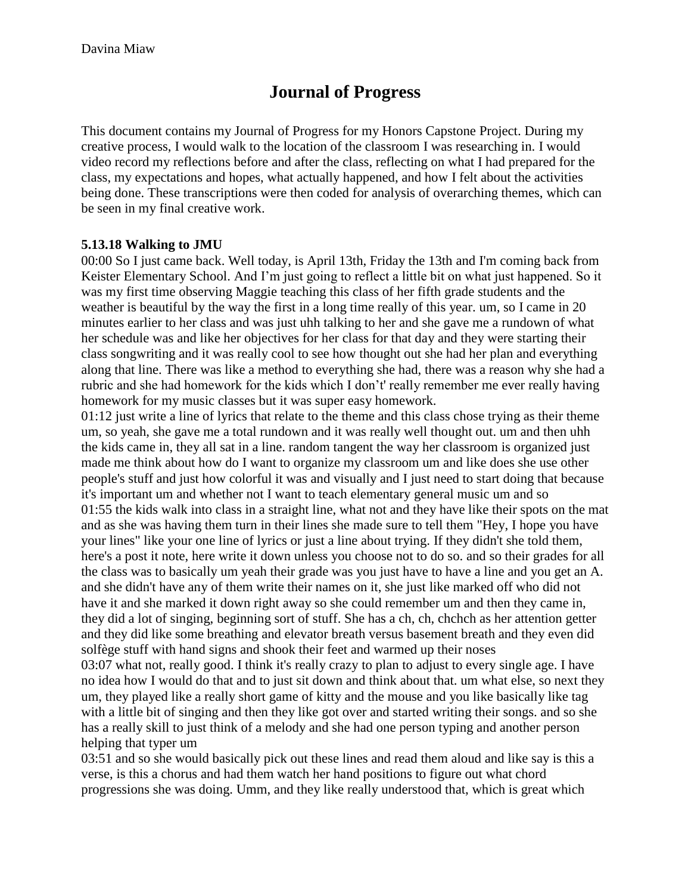# **Journal of Progress**

This document contains my Journal of Progress for my Honors Capstone Project. During my creative process, I would walk to the location of the classroom I was researching in. I would video record my reflections before and after the class, reflecting on what I had prepared for the class, my expectations and hopes, what actually happened, and how I felt about the activities being done. These transcriptions were then coded for analysis of overarching themes, which can be seen in my final creative work.

### **5.13.18 Walking to JMU**

00:00 So I just came back. Well today, is April 13th, Friday the 13th and I'm coming back from Keister Elementary School. And I'm just going to reflect a little bit on what just happened. So it was my first time observing Maggie teaching this class of her fifth grade students and the weather is beautiful by the way the first in a long time really of this year. um, so I came in 20 minutes earlier to her class and was just uhh talking to her and she gave me a rundown of what her schedule was and like her objectives for her class for that day and they were starting their class songwriting and it was really cool to see how thought out she had her plan and everything along that line. There was like a method to everything she had, there was a reason why she had a rubric and she had homework for the kids which I don't' really remember me ever really having homework for my music classes but it was super easy homework.

01:12 just write a line of lyrics that relate to the theme and this class chose trying as their theme um, so yeah, she gave me a total rundown and it was really well thought out. um and then uhh the kids came in, they all sat in a line. random tangent the way her classroom is organized just made me think about how do I want to organize my classroom um and like does she use other people's stuff and just how colorful it was and visually and I just need to start doing that because it's important um and whether not I want to teach elementary general music um and so 01:55 the kids walk into class in a straight line, what not and they have like their spots on the mat and as she was having them turn in their lines she made sure to tell them "Hey, I hope you have your lines" like your one line of lyrics or just a line about trying. If they didn't she told them, here's a post it note, here write it down unless you choose not to do so. and so their grades for all the class was to basically um yeah their grade was you just have to have a line and you get an A. and she didn't have any of them write their names on it, she just like marked off who did not have it and she marked it down right away so she could remember um and then they came in, they did a lot of singing, beginning sort of stuff. She has a ch, ch, chchch as her attention getter and they did like some breathing and elevator breath versus basement breath and they even did solfège stuff with hand signs and shook their feet and warmed up their noses 03:07 what not, really good. I think it's really crazy to plan to adjust to every single age. I have

no idea how I would do that and to just sit down and think about that. um what else, so next they um, they played like a really short game of kitty and the mouse and you like basically like tag with a little bit of singing and then they like got over and started writing their songs. and so she has a really skill to just think of a melody and she had one person typing and another person helping that typer um

03:51 and so she would basically pick out these lines and read them aloud and like say is this a verse, is this a chorus and had them watch her hand positions to figure out what chord progressions she was doing. Umm, and they like really understood that, which is great which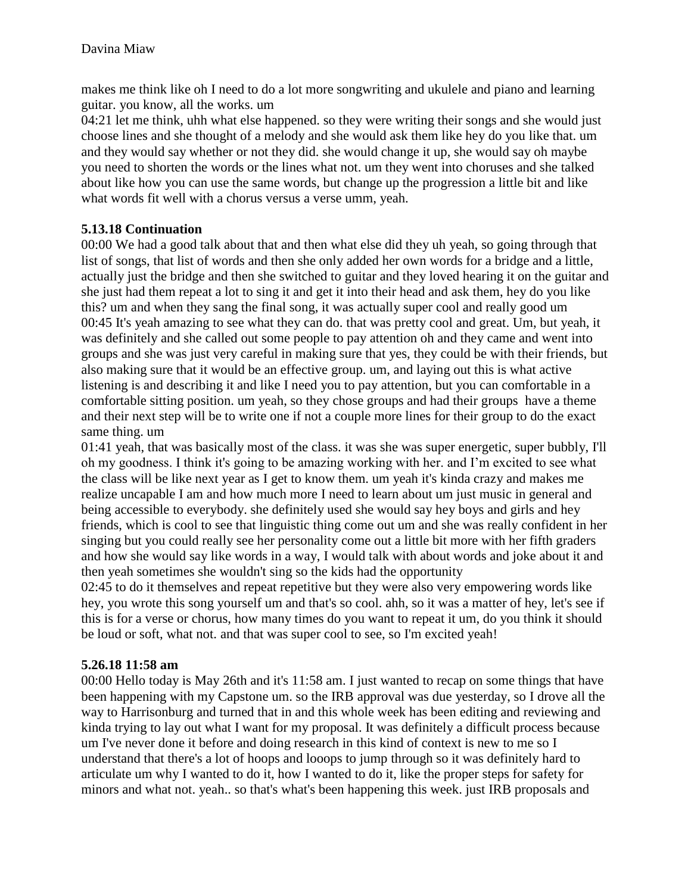makes me think like oh I need to do a lot more songwriting and ukulele and piano and learning guitar. you know, all the works. um

04:21 let me think, uhh what else happened. so they were writing their songs and she would just choose lines and she thought of a melody and she would ask them like hey do you like that. um and they would say whether or not they did. she would change it up, she would say oh maybe you need to shorten the words or the lines what not. um they went into choruses and she talked about like how you can use the same words, but change up the progression a little bit and like what words fit well with a chorus versus a verse umm, yeah.

### **5.13.18 Continuation**

00:00 We had a good talk about that and then what else did they uh yeah, so going through that list of songs, that list of words and then she only added her own words for a bridge and a little, actually just the bridge and then she switched to guitar and they loved hearing it on the guitar and she just had them repeat a lot to sing it and get it into their head and ask them, hey do you like this? um and when they sang the final song, it was actually super cool and really good um 00:45 It's yeah amazing to see what they can do. that was pretty cool and great. Um, but yeah, it was definitely and she called out some people to pay attention oh and they came and went into groups and she was just very careful in making sure that yes, they could be with their friends, but also making sure that it would be an effective group. um, and laying out this is what active listening is and describing it and like I need you to pay attention, but you can comfortable in a comfortable sitting position. um yeah, so they chose groups and had their groups have a theme and their next step will be to write one if not a couple more lines for their group to do the exact same thing. um

01:41 yeah, that was basically most of the class. it was she was super energetic, super bubbly, I'll oh my goodness. I think it's going to be amazing working with her. and I'm excited to see what the class will be like next year as I get to know them. um yeah it's kinda crazy and makes me realize uncapable I am and how much more I need to learn about um just music in general and being accessible to everybody. she definitely used she would say hey boys and girls and hey friends, which is cool to see that linguistic thing come out um and she was really confident in her singing but you could really see her personality come out a little bit more with her fifth graders and how she would say like words in a way, I would talk with about words and joke about it and then yeah sometimes she wouldn't sing so the kids had the opportunity

02:45 to do it themselves and repeat repetitive but they were also very empowering words like hey, you wrote this song yourself um and that's so cool. ahh, so it was a matter of hey, let's see if this is for a verse or chorus, how many times do you want to repeat it um, do you think it should be loud or soft, what not. and that was super cool to see, so I'm excited yeah!

### **5.26.18 11:58 am**

00:00 Hello today is May 26th and it's 11:58 am. I just wanted to recap on some things that have been happening with my Capstone um. so the IRB approval was due yesterday, so I drove all the way to Harrisonburg and turned that in and this whole week has been editing and reviewing and kinda trying to lay out what I want for my proposal. It was definitely a difficult process because um I've never done it before and doing research in this kind of context is new to me so I understand that there's a lot of hoops and looops to jump through so it was definitely hard to articulate um why I wanted to do it, how I wanted to do it, like the proper steps for safety for minors and what not. yeah.. so that's what's been happening this week. just IRB proposals and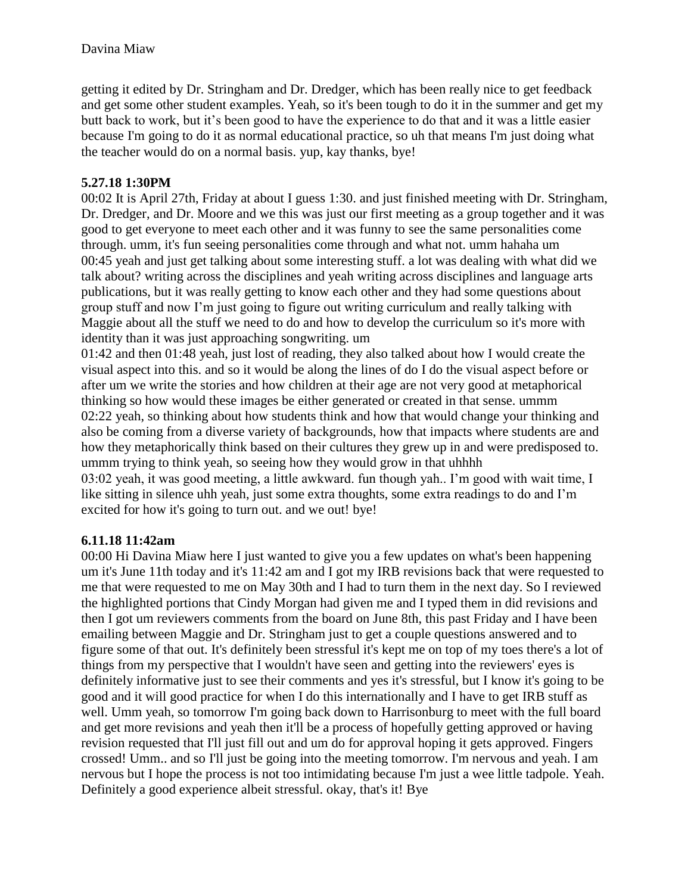getting it edited by Dr. Stringham and Dr. Dredger, which has been really nice to get feedback and get some other student examples. Yeah, so it's been tough to do it in the summer and get my butt back to work, but it's been good to have the experience to do that and it was a little easier because I'm going to do it as normal educational practice, so uh that means I'm just doing what the teacher would do on a normal basis. yup, kay thanks, bye!

### **5.27.18 1:30PM**

00:02 It is April 27th, Friday at about I guess 1:30. and just finished meeting with Dr. Stringham, Dr. Dredger, and Dr. Moore and we this was just our first meeting as a group together and it was good to get everyone to meet each other and it was funny to see the same personalities come through. umm, it's fun seeing personalities come through and what not. umm hahaha um 00:45 yeah and just get talking about some interesting stuff. a lot was dealing with what did we talk about? writing across the disciplines and yeah writing across disciplines and language arts publications, but it was really getting to know each other and they had some questions about group stuff and now I'm just going to figure out writing curriculum and really talking with Maggie about all the stuff we need to do and how to develop the curriculum so it's more with identity than it was just approaching songwriting. um

01:42 and then 01:48 yeah, just lost of reading, they also talked about how I would create the visual aspect into this. and so it would be along the lines of do I do the visual aspect before or after um we write the stories and how children at their age are not very good at metaphorical thinking so how would these images be either generated or created in that sense. ummm 02:22 yeah, so thinking about how students think and how that would change your thinking and also be coming from a diverse variety of backgrounds, how that impacts where students are and how they metaphorically think based on their cultures they grew up in and were predisposed to. ummm trying to think yeah, so seeing how they would grow in that uhhhh

03:02 yeah, it was good meeting, a little awkward. fun though yah.. I'm good with wait time, I like sitting in silence uhh yeah, just some extra thoughts, some extra readings to do and I'm excited for how it's going to turn out. and we out! bye!

### **6.11.18 11:42am**

00:00 Hi Davina Miaw here I just wanted to give you a few updates on what's been happening um it's June 11th today and it's 11:42 am and I got my IRB revisions back that were requested to me that were requested to me on May 30th and I had to turn them in the next day. So I reviewed the highlighted portions that Cindy Morgan had given me and I typed them in did revisions and then I got um reviewers comments from the board on June 8th, this past Friday and I have been emailing between Maggie and Dr. Stringham just to get a couple questions answered and to figure some of that out. It's definitely been stressful it's kept me on top of my toes there's a lot of things from my perspective that I wouldn't have seen and getting into the reviewers' eyes is definitely informative just to see their comments and yes it's stressful, but I know it's going to be good and it will good practice for when I do this internationally and I have to get IRB stuff as well. Umm yeah, so tomorrow I'm going back down to Harrisonburg to meet with the full board and get more revisions and yeah then it'll be a process of hopefully getting approved or having revision requested that I'll just fill out and um do for approval hoping it gets approved. Fingers crossed! Umm.. and so I'll just be going into the meeting tomorrow. I'm nervous and yeah. I am nervous but I hope the process is not too intimidating because I'm just a wee little tadpole. Yeah. Definitely a good experience albeit stressful. okay, that's it! Bye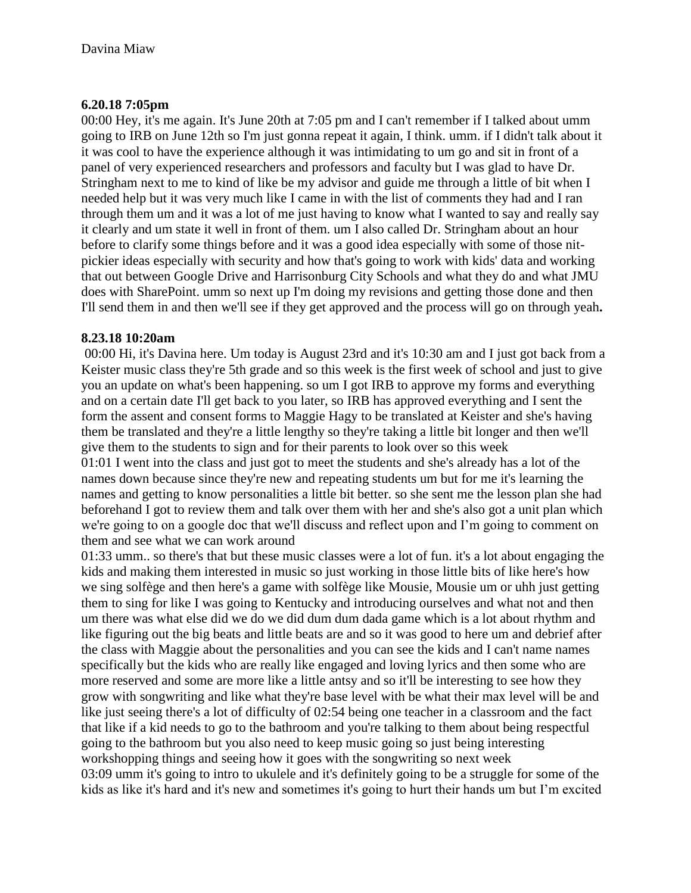### **6.20.18 7:05pm**

00:00 Hey, it's me again. It's June 20th at 7:05 pm and I can't remember if I talked about umm going to IRB on June 12th so I'm just gonna repeat it again, I think. umm. if I didn't talk about it it was cool to have the experience although it was intimidating to um go and sit in front of a panel of very experienced researchers and professors and faculty but I was glad to have Dr. Stringham next to me to kind of like be my advisor and guide me through a little of bit when I needed help but it was very much like I came in with the list of comments they had and I ran through them um and it was a lot of me just having to know what I wanted to say and really say it clearly and um state it well in front of them. um I also called Dr. Stringham about an hour before to clarify some things before and it was a good idea especially with some of those nitpickier ideas especially with security and how that's going to work with kids' data and working that out between Google Drive and Harrisonburg City Schools and what they do and what JMU does with SharePoint. umm so next up I'm doing my revisions and getting those done and then I'll send them in and then we'll see if they get approved and the process will go on through yeah**.** 

### **8.23.18 10:20am**

00:00 Hi, it's Davina here. Um today is August 23rd and it's 10:30 am and I just got back from a Keister music class they're 5th grade and so this week is the first week of school and just to give you an update on what's been happening. so um I got IRB to approve my forms and everything and on a certain date I'll get back to you later, so IRB has approved everything and I sent the form the assent and consent forms to Maggie Hagy to be translated at Keister and she's having them be translated and they're a little lengthy so they're taking a little bit longer and then we'll give them to the students to sign and for their parents to look over so this week 01:01 I went into the class and just got to meet the students and she's already has a lot of the

names down because since they're new and repeating students um but for me it's learning the names and getting to know personalities a little bit better. so she sent me the lesson plan she had beforehand I got to review them and talk over them with her and she's also got a unit plan which we're going to on a google doc that we'll discuss and reflect upon and I'm going to comment on them and see what we can work around

01:33 umm.. so there's that but these music classes were a lot of fun. it's a lot about engaging the kids and making them interested in music so just working in those little bits of like here's how we sing solfège and then here's a game with solfège like Mousie, Mousie um or uhh just getting them to sing for like I was going to Kentucky and introducing ourselves and what not and then um there was what else did we do we did dum dum dada game which is a lot about rhythm and like figuring out the big beats and little beats are and so it was good to here um and debrief after the class with Maggie about the personalities and you can see the kids and I can't name names specifically but the kids who are really like engaged and loving lyrics and then some who are more reserved and some are more like a little antsy and so it'll be interesting to see how they grow with songwriting and like what they're base level with be what their max level will be and like just seeing there's a lot of difficulty of 02:54 being one teacher in a classroom and the fact that like if a kid needs to go to the bathroom and you're talking to them about being respectful going to the bathroom but you also need to keep music going so just being interesting workshopping things and seeing how it goes with the songwriting so next week 03:09 umm it's going to intro to ukulele and it's definitely going to be a struggle for some of the kids as like it's hard and it's new and sometimes it's going to hurt their hands um but I'm excited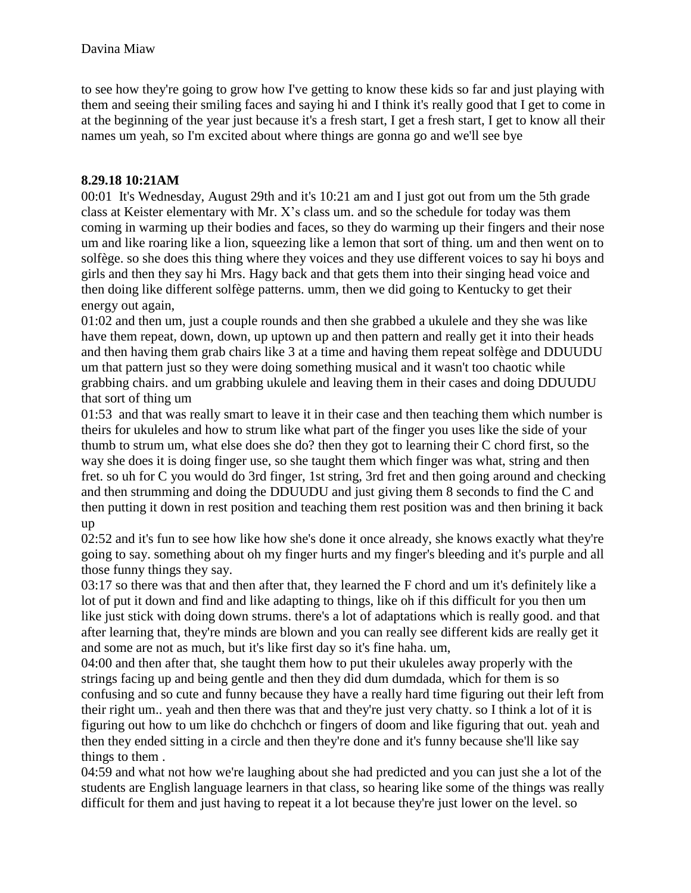to see how they're going to grow how I've getting to know these kids so far and just playing with them and seeing their smiling faces and saying hi and I think it's really good that I get to come in at the beginning of the year just because it's a fresh start, I get a fresh start, I get to know all their names um yeah, so I'm excited about where things are gonna go and we'll see bye

#### **8.29.18 10:21AM**

00:01 It's Wednesday, August 29th and it's 10:21 am and I just got out from um the 5th grade class at Keister elementary with Mr. X's class um. and so the schedule for today was them coming in warming up their bodies and faces, so they do warming up their fingers and their nose um and like roaring like a lion, squeezing like a lemon that sort of thing. um and then went on to solfège. so she does this thing where they voices and they use different voices to say hi boys and girls and then they say hi Mrs. Hagy back and that gets them into their singing head voice and then doing like different solfège patterns. umm, then we did going to Kentucky to get their energy out again,

01:02 and then um, just a couple rounds and then she grabbed a ukulele and they she was like have them repeat, down, down, up uptown up and then pattern and really get it into their heads and then having them grab chairs like 3 at a time and having them repeat solfège and DDUUDU um that pattern just so they were doing something musical and it wasn't too chaotic while grabbing chairs. and um grabbing ukulele and leaving them in their cases and doing DDUUDU that sort of thing um

01:53 and that was really smart to leave it in their case and then teaching them which number is theirs for ukuleles and how to strum like what part of the finger you uses like the side of your thumb to strum um, what else does she do? then they got to learning their C chord first, so the way she does it is doing finger use, so she taught them which finger was what, string and then fret. so uh for C you would do 3rd finger, 1st string, 3rd fret and then going around and checking and then strumming and doing the DDUUDU and just giving them 8 seconds to find the C and then putting it down in rest position and teaching them rest position was and then brining it back up

02:52 and it's fun to see how like how she's done it once already, she knows exactly what they're going to say. something about oh my finger hurts and my finger's bleeding and it's purple and all those funny things they say.

03:17 so there was that and then after that, they learned the F chord and um it's definitely like a lot of put it down and find and like adapting to things, like oh if this difficult for you then um like just stick with doing down strums. there's a lot of adaptations which is really good. and that after learning that, they're minds are blown and you can really see different kids are really get it and some are not as much, but it's like first day so it's fine haha. um,

04:00 and then after that, she taught them how to put their ukuleles away properly with the strings facing up and being gentle and then they did dum dumdada, which for them is so confusing and so cute and funny because they have a really hard time figuring out their left from their right um.. yeah and then there was that and they're just very chatty. so I think a lot of it is figuring out how to um like do chchchch or fingers of doom and like figuring that out. yeah and then they ended sitting in a circle and then they're done and it's funny because she'll like say things to them .

04:59 and what not how we're laughing about she had predicted and you can just she a lot of the students are English language learners in that class, so hearing like some of the things was really difficult for them and just having to repeat it a lot because they're just lower on the level. so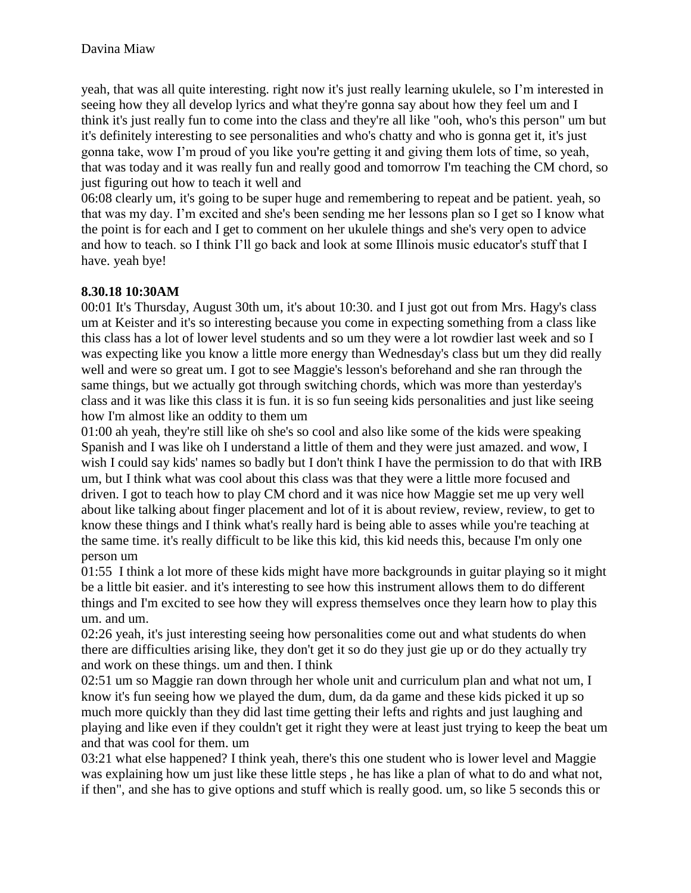yeah, that was all quite interesting. right now it's just really learning ukulele, so I'm interested in seeing how they all develop lyrics and what they're gonna say about how they feel um and I think it's just really fun to come into the class and they're all like "ooh, who's this person" um but it's definitely interesting to see personalities and who's chatty and who is gonna get it, it's just gonna take, wow I'm proud of you like you're getting it and giving them lots of time, so yeah, that was today and it was really fun and really good and tomorrow I'm teaching the CM chord, so just figuring out how to teach it well and

06:08 clearly um, it's going to be super huge and remembering to repeat and be patient. yeah, so that was my day. I'm excited and she's been sending me her lessons plan so I get so I know what the point is for each and I get to comment on her ukulele things and she's very open to advice and how to teach. so I think I'll go back and look at some Illinois music educator's stuff that I have. yeah bye!

### **8.30.18 10:30AM**

00:01 It's Thursday, August 30th um, it's about 10:30. and I just got out from Mrs. Hagy's class um at Keister and it's so interesting because you come in expecting something from a class like this class has a lot of lower level students and so um they were a lot rowdier last week and so I was expecting like you know a little more energy than Wednesday's class but um they did really well and were so great um. I got to see Maggie's lesson's beforehand and she ran through the same things, but we actually got through switching chords, which was more than yesterday's class and it was like this class it is fun. it is so fun seeing kids personalities and just like seeing how I'm almost like an oddity to them um

01:00 ah yeah, they're still like oh she's so cool and also like some of the kids were speaking Spanish and I was like oh I understand a little of them and they were just amazed. and wow, I wish I could say kids' names so badly but I don't think I have the permission to do that with IRB um, but I think what was cool about this class was that they were a little more focused and driven. I got to teach how to play CM chord and it was nice how Maggie set me up very well about like talking about finger placement and lot of it is about review, review, review, to get to know these things and I think what's really hard is being able to asses while you're teaching at the same time. it's really difficult to be like this kid, this kid needs this, because I'm only one person um

01:55 I think a lot more of these kids might have more backgrounds in guitar playing so it might be a little bit easier. and it's interesting to see how this instrument allows them to do different things and I'm excited to see how they will express themselves once they learn how to play this um. and um.

02:26 yeah, it's just interesting seeing how personalities come out and what students do when there are difficulties arising like, they don't get it so do they just gie up or do they actually try and work on these things. um and then. I think

02:51 um so Maggie ran down through her whole unit and curriculum plan and what not um, I know it's fun seeing how we played the dum, dum, da da game and these kids picked it up so much more quickly than they did last time getting their lefts and rights and just laughing and playing and like even if they couldn't get it right they were at least just trying to keep the beat um and that was cool for them. um

03:21 what else happened? I think yeah, there's this one student who is lower level and Maggie was explaining how um just like these little steps , he has like a plan of what to do and what not, if then", and she has to give options and stuff which is really good. um, so like 5 seconds this or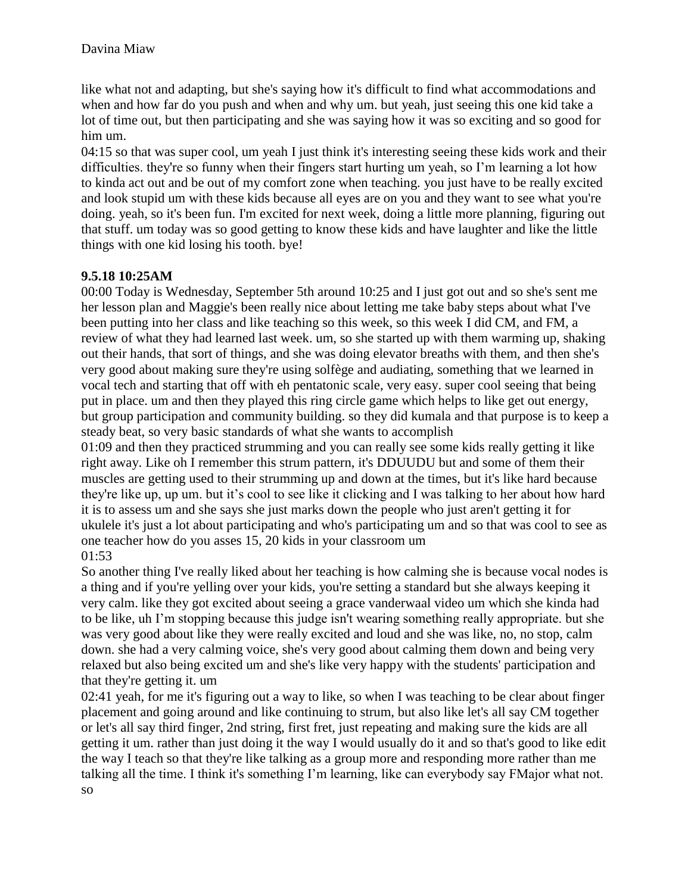like what not and adapting, but she's saying how it's difficult to find what accommodations and when and how far do you push and when and why um. but yeah, just seeing this one kid take a lot of time out, but then participating and she was saying how it was so exciting and so good for him um.

04:15 so that was super cool, um yeah I just think it's interesting seeing these kids work and their difficulties. they're so funny when their fingers start hurting um yeah, so I'm learning a lot how to kinda act out and be out of my comfort zone when teaching. you just have to be really excited and look stupid um with these kids because all eyes are on you and they want to see what you're doing. yeah, so it's been fun. I'm excited for next week, doing a little more planning, figuring out that stuff. um today was so good getting to know these kids and have laughter and like the little things with one kid losing his tooth. bye!

# **9.5.18 10:25AM**

00:00 Today is Wednesday, September 5th around 10:25 and I just got out and so she's sent me her lesson plan and Maggie's been really nice about letting me take baby steps about what I've been putting into her class and like teaching so this week, so this week I did CM, and FM, a review of what they had learned last week. um, so she started up with them warming up, shaking out their hands, that sort of things, and she was doing elevator breaths with them, and then she's very good about making sure they're using solfège and audiating, something that we learned in vocal tech and starting that off with eh pentatonic scale, very easy. super cool seeing that being put in place. um and then they played this ring circle game which helps to like get out energy, but group participation and community building. so they did kumala and that purpose is to keep a steady beat, so very basic standards of what she wants to accomplish

01:09 and then they practiced strumming and you can really see some kids really getting it like right away. Like oh I remember this strum pattern, it's DDUUDU but and some of them their muscles are getting used to their strumming up and down at the times, but it's like hard because they're like up, up um. but it's cool to see like it clicking and I was talking to her about how hard it is to assess um and she says she just marks down the people who just aren't getting it for ukulele it's just a lot about participating and who's participating um and so that was cool to see as one teacher how do you asses 15, 20 kids in your classroom um 01:53

So another thing I've really liked about her teaching is how calming she is because vocal nodes is a thing and if you're yelling over your kids, you're setting a standard but she always keeping it very calm. like they got excited about seeing a grace vanderwaal video um which she kinda had to be like, uh I'm stopping because this judge isn't wearing something really appropriate. but she was very good about like they were really excited and loud and she was like, no, no stop, calm down. she had a very calming voice, she's very good about calming them down and being very relaxed but also being excited um and she's like very happy with the students' participation and that they're getting it. um

02:41 yeah, for me it's figuring out a way to like, so when I was teaching to be clear about finger placement and going around and like continuing to strum, but also like let's all say CM together or let's all say third finger, 2nd string, first fret, just repeating and making sure the kids are all getting it um. rather than just doing it the way I would usually do it and so that's good to like edit the way I teach so that they're like talking as a group more and responding more rather than me talking all the time. I think it's something I'm learning, like can everybody say FMajor what not. so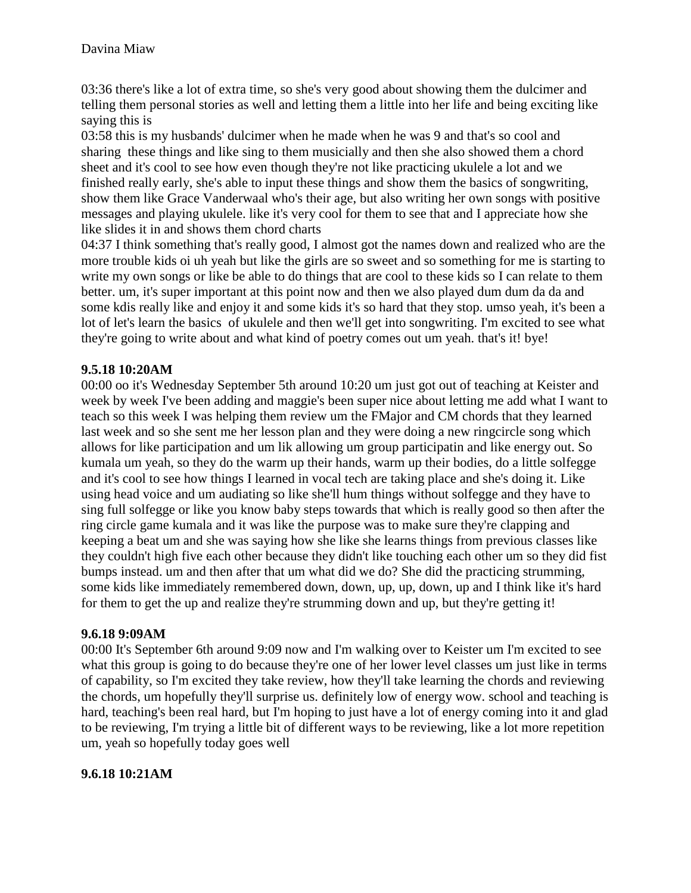03:36 there's like a lot of extra time, so she's very good about showing them the dulcimer and telling them personal stories as well and letting them a little into her life and being exciting like saying this is

03:58 this is my husbands' dulcimer when he made when he was 9 and that's so cool and sharing these things and like sing to them musicially and then she also showed them a chord sheet and it's cool to see how even though they're not like practicing ukulele a lot and we finished really early, she's able to input these things and show them the basics of songwriting, show them like Grace Vanderwaal who's their age, but also writing her own songs with positive messages and playing ukulele. like it's very cool for them to see that and I appreciate how she like slides it in and shows them chord charts

04:37 I think something that's really good, I almost got the names down and realized who are the more trouble kids oi uh yeah but like the girls are so sweet and so something for me is starting to write my own songs or like be able to do things that are cool to these kids so I can relate to them better. um, it's super important at this point now and then we also played dum dum da da and some kdis really like and enjoy it and some kids it's so hard that they stop. umso yeah, it's been a lot of let's learn the basics of ukulele and then we'll get into songwriting. I'm excited to see what they're going to write about and what kind of poetry comes out um yeah. that's it! bye!

### **9.5.18 10:20AM**

00:00 oo it's Wednesday September 5th around 10:20 um just got out of teaching at Keister and week by week I've been adding and maggie's been super nice about letting me add what I want to teach so this week I was helping them review um the FMajor and CM chords that they learned last week and so she sent me her lesson plan and they were doing a new ringcircle song which allows for like participation and um lik allowing um group participatin and like energy out. So kumala um yeah, so they do the warm up their hands, warm up their bodies, do a little solfegge and it's cool to see how things I learned in vocal tech are taking place and she's doing it. Like using head voice and um audiating so like she'll hum things without solfegge and they have to sing full solfegge or like you know baby steps towards that which is really good so then after the ring circle game kumala and it was like the purpose was to make sure they're clapping and keeping a beat um and she was saying how she like she learns things from previous classes like they couldn't high five each other because they didn't like touching each other um so they did fist bumps instead. um and then after that um what did we do? She did the practicing strumming, some kids like immediately remembered down, down, up, up, down, up and I think like it's hard for them to get the up and realize they're strumming down and up, but they're getting it!

#### **9.6.18 9:09AM**

00:00 It's September 6th around 9:09 now and I'm walking over to Keister um I'm excited to see what this group is going to do because they're one of her lower level classes um just like in terms of capability, so I'm excited they take review, how they'll take learning the chords and reviewing the chords, um hopefully they'll surprise us. definitely low of energy wow. school and teaching is hard, teaching's been real hard, but I'm hoping to just have a lot of energy coming into it and glad to be reviewing, I'm trying a little bit of different ways to be reviewing, like a lot more repetition um, yeah so hopefully today goes well

#### **9.6.18 10:21AM**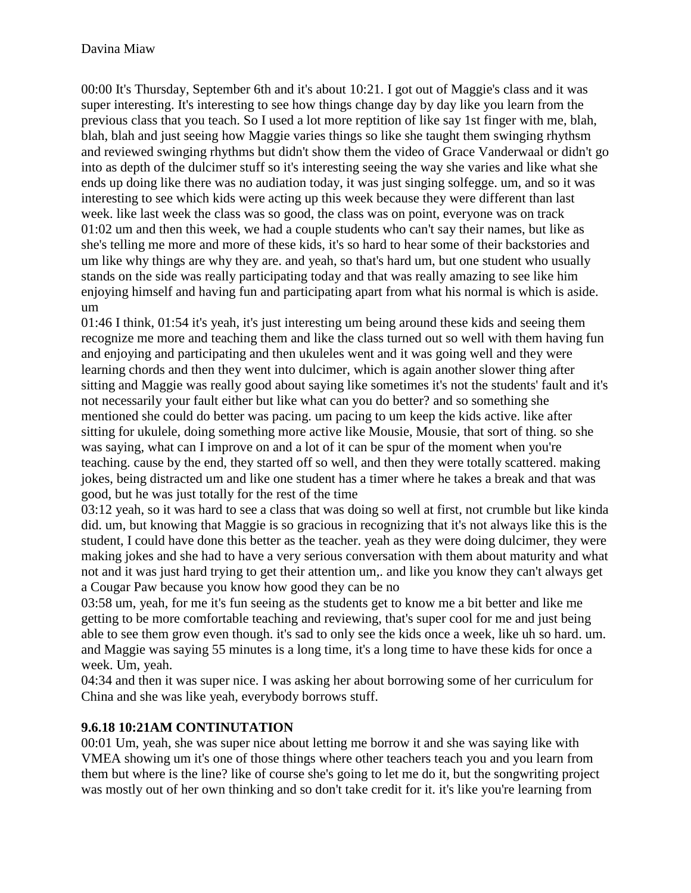00:00 It's Thursday, September 6th and it's about 10:21. I got out of Maggie's class and it was super interesting. It's interesting to see how things change day by day like you learn from the previous class that you teach. So I used a lot more reptition of like say 1st finger with me, blah, blah, blah and just seeing how Maggie varies things so like she taught them swinging rhythsm and reviewed swinging rhythms but didn't show them the video of Grace Vanderwaal or didn't go into as depth of the dulcimer stuff so it's interesting seeing the way she varies and like what she ends up doing like there was no audiation today, it was just singing solfegge. um, and so it was interesting to see which kids were acting up this week because they were different than last week. like last week the class was so good, the class was on point, everyone was on track 01:02 um and then this week, we had a couple students who can't say their names, but like as she's telling me more and more of these kids, it's so hard to hear some of their backstories and um like why things are why they are. and yeah, so that's hard um, but one student who usually stands on the side was really participating today and that was really amazing to see like him enjoying himself and having fun and participating apart from what his normal is which is aside. um

01:46 I think, 01:54 it's yeah, it's just interesting um being around these kids and seeing them recognize me more and teaching them and like the class turned out so well with them having fun and enjoying and participating and then ukuleles went and it was going well and they were learning chords and then they went into dulcimer, which is again another slower thing after sitting and Maggie was really good about saying like sometimes it's not the students' fault and it's not necessarily your fault either but like what can you do better? and so something she mentioned she could do better was pacing. um pacing to um keep the kids active. like after sitting for ukulele, doing something more active like Mousie, Mousie, that sort of thing. so she was saying, what can I improve on and a lot of it can be spur of the moment when you're teaching. cause by the end, they started off so well, and then they were totally scattered. making jokes, being distracted um and like one student has a timer where he takes a break and that was good, but he was just totally for the rest of the time

03:12 yeah, so it was hard to see a class that was doing so well at first, not crumble but like kinda did. um, but knowing that Maggie is so gracious in recognizing that it's not always like this is the student, I could have done this better as the teacher. yeah as they were doing dulcimer, they were making jokes and she had to have a very serious conversation with them about maturity and what not and it was just hard trying to get their attention um,. and like you know they can't always get a Cougar Paw because you know how good they can be no

03:58 um, yeah, for me it's fun seeing as the students get to know me a bit better and like me getting to be more comfortable teaching and reviewing, that's super cool for me and just being able to see them grow even though. it's sad to only see the kids once a week, like uh so hard. um. and Maggie was saying 55 minutes is a long time, it's a long time to have these kids for once a week. Um, yeah.

04:34 and then it was super nice. I was asking her about borrowing some of her curriculum for China and she was like yeah, everybody borrows stuff.

# **9.6.18 10:21AM CONTINUTATION**

00:01 Um, yeah, she was super nice about letting me borrow it and she was saying like with VMEA showing um it's one of those things where other teachers teach you and you learn from them but where is the line? like of course she's going to let me do it, but the songwriting project was mostly out of her own thinking and so don't take credit for it. it's like you're learning from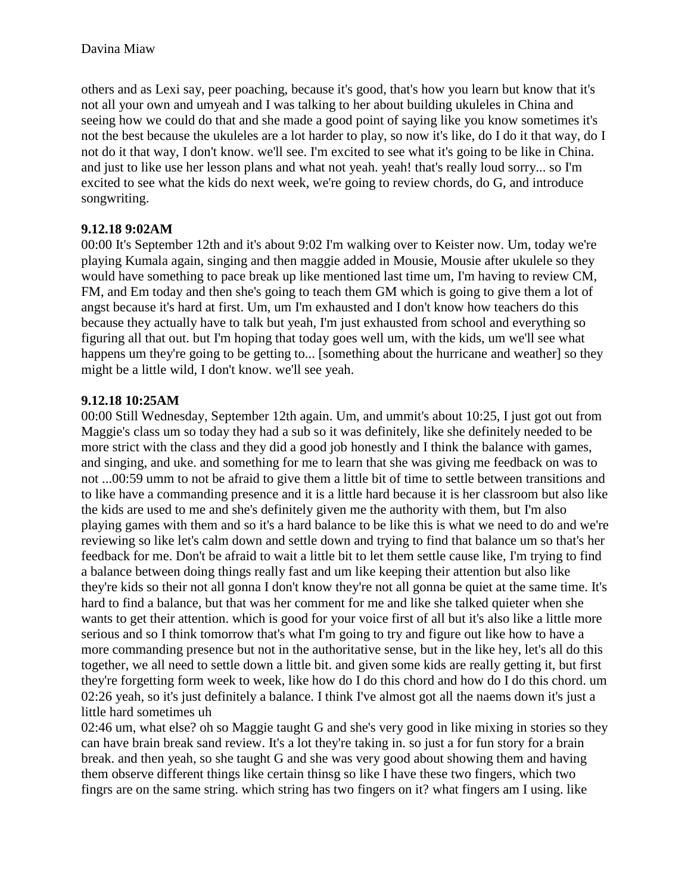others and as Lexi say, peer poaching, because it's good, that's how you learn but know that it's not all your own and umyeah and I was talking to her about building ukuleles in China and seeing how we could do that and she made a good point of saying like you know sometimes it's not the best because the ukuleles are a lot harder to play, so now it's like, do I do it that way, do I not do it that way, I don't know. we'll see. I'm excited to see what it's going to be like in China. and just to like use her lesson plans and what not yeah. yeah! that's really loud sorry... so I'm excited to see what the kids do next week, we're going to review chords, do G, and introduce songwriting.

### **9.12.18 9:02AM**

00:00 It's September 12th and it's about 9:02 I'm walking over to Keister now. Um, today we're playing Kumala again, singing and then maggie added in Mousie, Mousie after ukulele so they would have something to pace break up like mentioned last time um, I'm having to review CM, FM, and Em today and then she's going to teach them GM which is going to give them a lot of angst because it's hard at first. Um, um I'm exhausted and I don't know how teachers do this because they actually have to talk but yeah, I'm just exhausted from school and everything so figuring all that out. but I'm hoping that today goes well um, with the kids, um we'll see what happens um they're going to be getting to... [something about the hurricane and weather] so they might be a little wild, I don't know. we'll see yeah.

### **9.12.18 10:25AM**

00:00 Still Wednesday, September 12th again. Um, and ummit's about 10:25, I just got out from Maggie's class um so today they had a sub so it was definitely, like she definitely needed to be more strict with the class and they did a good job honestly and I think the balance with games, and singing, and uke. and something for me to learn that she was giving me feedback on was to not ...00:59 umm to not be afraid to give them a little bit of time to settle between transitions and to like have a commanding presence and it is a little hard because it is her classroom but also like the kids are used to me and she's definitely given me the authority with them, but I'm also playing games with them and so it's a hard balance to be like this is what we need to do and we're reviewing so like let's calm down and settle down and trying to find that balance um so that's her feedback for me. Don't be afraid to wait a little bit to let them settle cause like, I'm trying to find a balance between doing things really fast and um like keeping their attention but also like they're kids so their not all gonna I don't know they're not all gonna be quiet at the same time. It's hard to find a balance, but that was her comment for me and like she talked quieter when she wants to get their attention. which is good for your voice first of all but it's also like a little more serious and so I think tomorrow that's what I'm going to try and figure out like how to have a more commanding presence but not in the authoritative sense, but in the like hey, let's all do this together, we all need to settle down a little bit. and given some kids are really getting it, but first they're forgetting form week to week, like how do I do this chord and how do I do this chord. um 02:26 yeah, so it's just definitely a balance. I think I've almost got all the naems down it's just a little hard sometimes uh

02:46 um, what else? oh so Maggie taught G and she's very good in like mixing in stories so they can have brain break sand review. It's a lot they're taking in. so just a for fun story for a brain break. and then yeah, so she taught G and she was very good about showing them and having them observe different things like certain thinsg so like I have these two fingers, which two fingrs are on the same string. which string has two fingers on it? what fingers am I using. like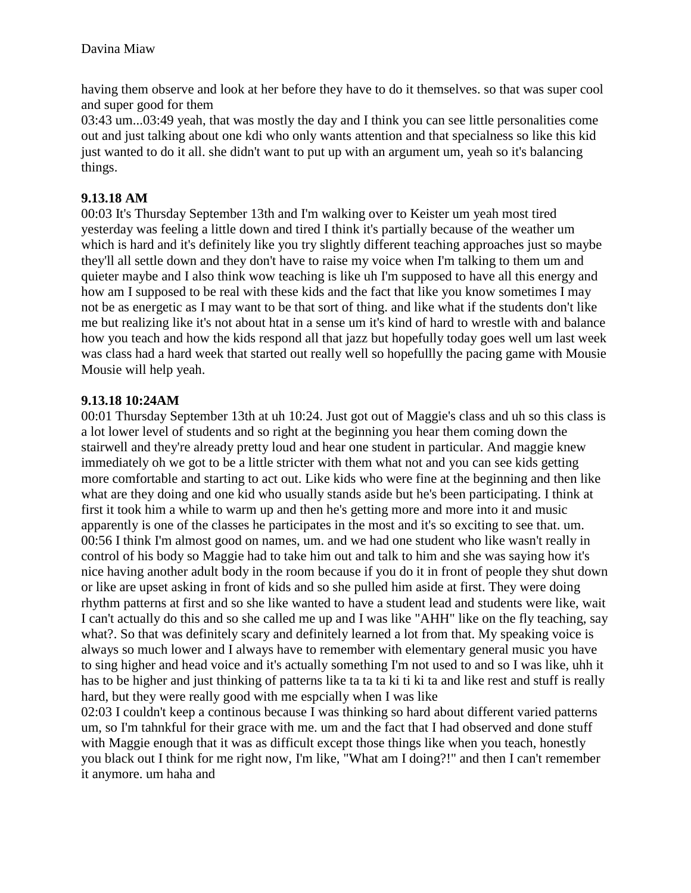having them observe and look at her before they have to do it themselves. so that was super cool and super good for them

03:43 um...03:49 yeah, that was mostly the day and I think you can see little personalities come out and just talking about one kdi who only wants attention and that specialness so like this kid just wanted to do it all. she didn't want to put up with an argument um, yeah so it's balancing things.

### **9.13.18 AM**

00:03 It's Thursday September 13th and I'm walking over to Keister um yeah most tired yesterday was feeling a little down and tired I think it's partially because of the weather um which is hard and it's definitely like you try slightly different teaching approaches just so maybe they'll all settle down and they don't have to raise my voice when I'm talking to them um and quieter maybe and I also think wow teaching is like uh I'm supposed to have all this energy and how am I supposed to be real with these kids and the fact that like you know sometimes I may not be as energetic as I may want to be that sort of thing. and like what if the students don't like me but realizing like it's not about htat in a sense um it's kind of hard to wrestle with and balance how you teach and how the kids respond all that jazz but hopefully today goes well um last week was class had a hard week that started out really well so hopefullly the pacing game with Mousie Mousie will help yeah.

### **9.13.18 10:24AM**

00:01 Thursday September 13th at uh 10:24. Just got out of Maggie's class and uh so this class is a lot lower level of students and so right at the beginning you hear them coming down the stairwell and they're already pretty loud and hear one student in particular. And maggie knew immediately oh we got to be a little stricter with them what not and you can see kids getting more comfortable and starting to act out. Like kids who were fine at the beginning and then like what are they doing and one kid who usually stands aside but he's been participating. I think at first it took him a while to warm up and then he's getting more and more into it and music apparently is one of the classes he participates in the most and it's so exciting to see that. um. 00:56 I think I'm almost good on names, um. and we had one student who like wasn't really in control of his body so Maggie had to take him out and talk to him and she was saying how it's nice having another adult body in the room because if you do it in front of people they shut down or like are upset asking in front of kids and so she pulled him aside at first. They were doing rhythm patterns at first and so she like wanted to have a student lead and students were like, wait I can't actually do this and so she called me up and I was like "AHH" like on the fly teaching, say what?. So that was definitely scary and definitely learned a lot from that. My speaking voice is always so much lower and I always have to remember with elementary general music you have to sing higher and head voice and it's actually something I'm not used to and so I was like, uhh it has to be higher and just thinking of patterns like ta ta ta ki ti ki ta and like rest and stuff is really hard, but they were really good with me espcially when I was like

02:03 I couldn't keep a continous because I was thinking so hard about different varied patterns um, so I'm tahnkful for their grace with me. um and the fact that I had observed and done stuff with Maggie enough that it was as difficult except those things like when you teach, honestly you black out I think for me right now, I'm like, "What am I doing?!" and then I can't remember it anymore. um haha and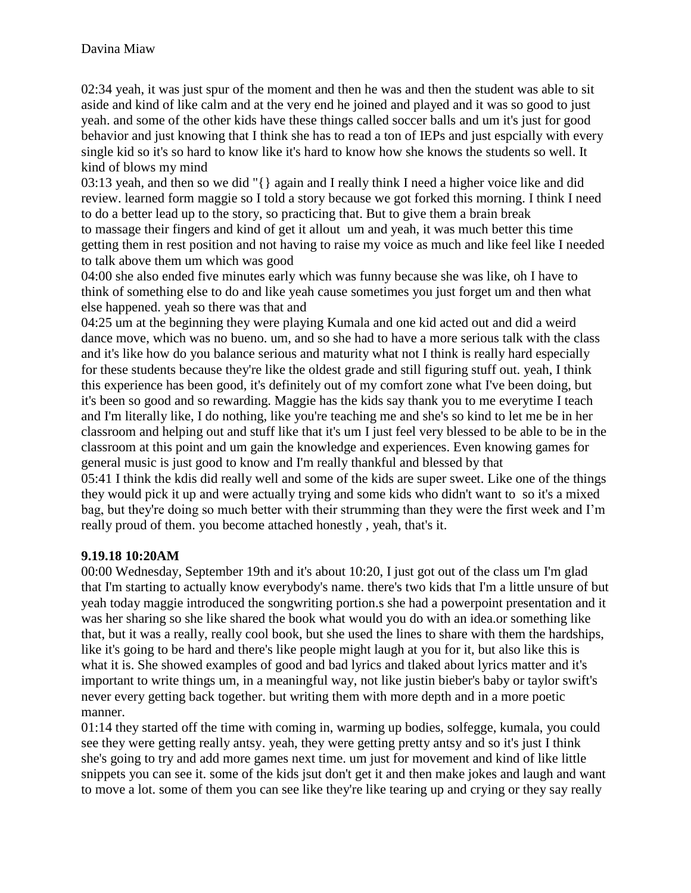02:34 yeah, it was just spur of the moment and then he was and then the student was able to sit aside and kind of like calm and at the very end he joined and played and it was so good to just yeah. and some of the other kids have these things called soccer balls and um it's just for good behavior and just knowing that I think she has to read a ton of IEPs and just espcially with every single kid so it's so hard to know like it's hard to know how she knows the students so well. It kind of blows my mind

03:13 yeah, and then so we did "{} again and I really think I need a higher voice like and did review. learned form maggie so I told a story because we got forked this morning. I think I need to do a better lead up to the story, so practicing that. But to give them a brain break to massage their fingers and kind of get it allout um and yeah, it was much better this time getting them in rest position and not having to raise my voice as much and like feel like I needed to talk above them um which was good

04:00 she also ended five minutes early which was funny because she was like, oh I have to think of something else to do and like yeah cause sometimes you just forget um and then what else happened. yeah so there was that and

04:25 um at the beginning they were playing Kumala and one kid acted out and did a weird dance move, which was no bueno. um, and so she had to have a more serious talk with the class and it's like how do you balance serious and maturity what not I think is really hard especially for these students because they're like the oldest grade and still figuring stuff out. yeah, I think this experience has been good, it's definitely out of my comfort zone what I've been doing, but it's been so good and so rewarding. Maggie has the kids say thank you to me everytime I teach and I'm literally like, I do nothing, like you're teaching me and she's so kind to let me be in her classroom and helping out and stuff like that it's um I just feel very blessed to be able to be in the classroom at this point and um gain the knowledge and experiences. Even knowing games for general music is just good to know and I'm really thankful and blessed by that 05:41 I think the kdis did really well and some of the kids are super sweet. Like one of the things

they would pick it up and were actually trying and some kids who didn't want to so it's a mixed bag, but they're doing so much better with their strumming than they were the first week and I'm really proud of them. you become attached honestly , yeah, that's it.

### **9.19.18 10:20AM**

00:00 Wednesday, September 19th and it's about 10:20, I just got out of the class um I'm glad that I'm starting to actually know everybody's name. there's two kids that I'm a little unsure of but yeah today maggie introduced the songwriting portion.s she had a powerpoint presentation and it was her sharing so she like shared the book what would you do with an idea.or something like that, but it was a really, really cool book, but she used the lines to share with them the hardships, like it's going to be hard and there's like people might laugh at you for it, but also like this is what it is. She showed examples of good and bad lyrics and tlaked about lyrics matter and it's important to write things um, in a meaningful way, not like justin bieber's baby or taylor swift's never every getting back together. but writing them with more depth and in a more poetic manner.

01:14 they started off the time with coming in, warming up bodies, solfegge, kumala, you could see they were getting really antsy. yeah, they were getting pretty antsy and so it's just I think she's going to try and add more games next time. um just for movement and kind of like little snippets you can see it. some of the kids jsut don't get it and then make jokes and laugh and want to move a lot. some of them you can see like they're like tearing up and crying or they say really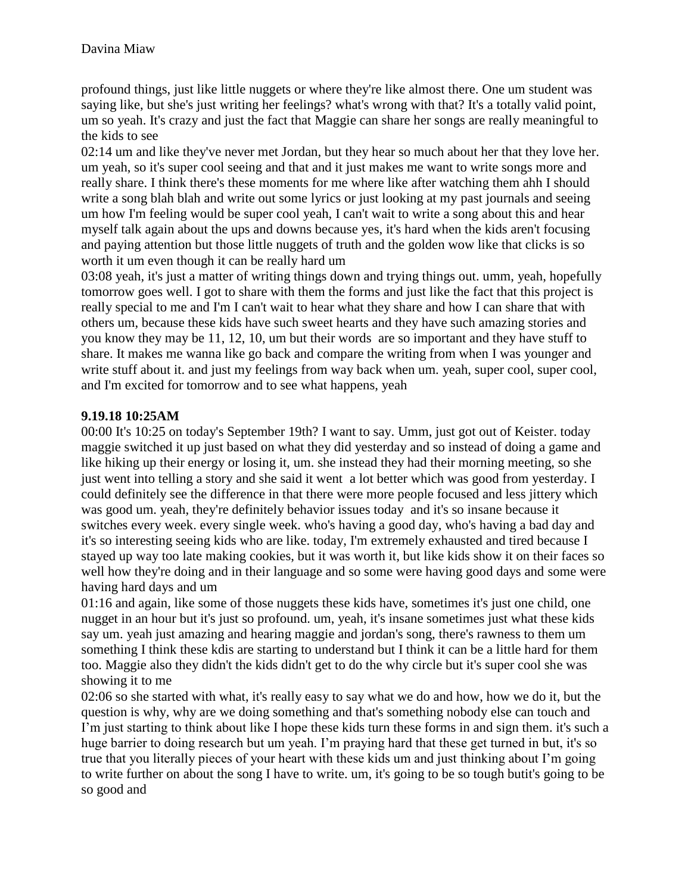profound things, just like little nuggets or where they're like almost there. One um student was saying like, but she's just writing her feelings? what's wrong with that? It's a totally valid point, um so yeah. It's crazy and just the fact that Maggie can share her songs are really meaningful to the kids to see

02:14 um and like they've never met Jordan, but they hear so much about her that they love her. um yeah, so it's super cool seeing and that and it just makes me want to write songs more and really share. I think there's these moments for me where like after watching them ahh I should write a song blah blah and write out some lyrics or just looking at my past journals and seeing um how I'm feeling would be super cool yeah, I can't wait to write a song about this and hear myself talk again about the ups and downs because yes, it's hard when the kids aren't focusing and paying attention but those little nuggets of truth and the golden wow like that clicks is so worth it um even though it can be really hard um

03:08 yeah, it's just a matter of writing things down and trying things out. umm, yeah, hopefully tomorrow goes well. I got to share with them the forms and just like the fact that this project is really special to me and I'm I can't wait to hear what they share and how I can share that with others um, because these kids have such sweet hearts and they have such amazing stories and you know they may be 11, 12, 10, um but their words are so important and they have stuff to share. It makes me wanna like go back and compare the writing from when I was younger and write stuff about it. and just my feelings from way back when um. yeah, super cool, super cool, and I'm excited for tomorrow and to see what happens, yeah

### **9.19.18 10:25AM**

00:00 It's 10:25 on today's September 19th? I want to say. Umm, just got out of Keister. today maggie switched it up just based on what they did yesterday and so instead of doing a game and like hiking up their energy or losing it, um. she instead they had their morning meeting, so she just went into telling a story and she said it went a lot better which was good from yesterday. I could definitely see the difference in that there were more people focused and less jittery which was good um. yeah, they're definitely behavior issues today and it's so insane because it switches every week. every single week. who's having a good day, who's having a bad day and it's so interesting seeing kids who are like. today, I'm extremely exhausted and tired because I stayed up way too late making cookies, but it was worth it, but like kids show it on their faces so well how they're doing and in their language and so some were having good days and some were having hard days and um

01:16 and again, like some of those nuggets these kids have, sometimes it's just one child, one nugget in an hour but it's just so profound. um, yeah, it's insane sometimes just what these kids say um. yeah just amazing and hearing maggie and jordan's song, there's rawness to them um something I think these kdis are starting to understand but I think it can be a little hard for them too. Maggie also they didn't the kids didn't get to do the why circle but it's super cool she was showing it to me

02:06 so she started with what, it's really easy to say what we do and how, how we do it, but the question is why, why are we doing something and that's something nobody else can touch and I'm just starting to think about like I hope these kids turn these forms in and sign them. it's such a huge barrier to doing research but um yeah. I'm praying hard that these get turned in but, it's so true that you literally pieces of your heart with these kids um and just thinking about I'm going to write further on about the song I have to write. um, it's going to be so tough butit's going to be so good and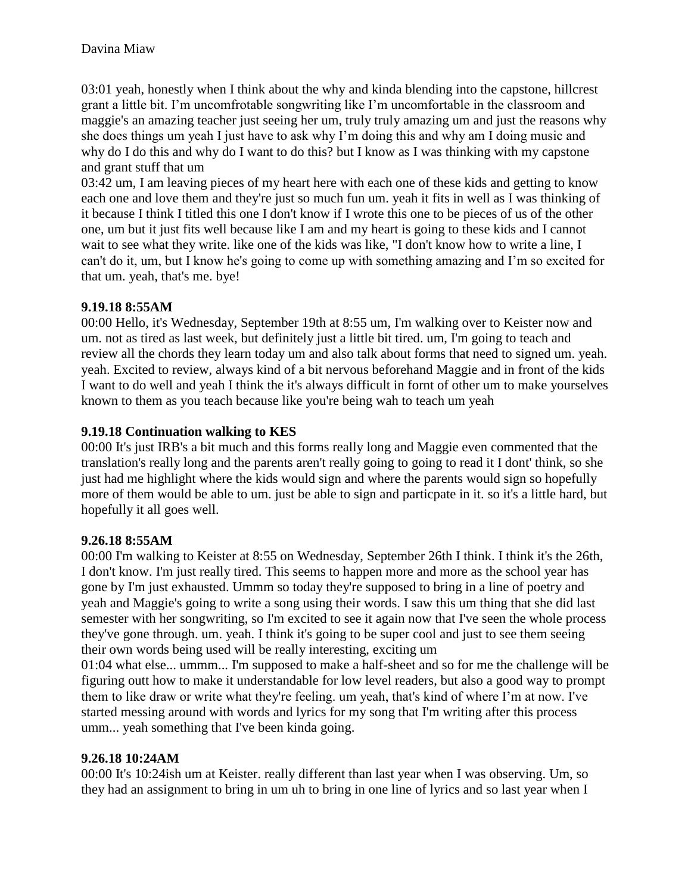03:01 yeah, honestly when I think about the why and kinda blending into the capstone, hillcrest grant a little bit. I'm uncomfrotable songwriting like I'm uncomfortable in the classroom and maggie's an amazing teacher just seeing her um, truly truly amazing um and just the reasons why she does things um yeah I just have to ask why I'm doing this and why am I doing music and why do I do this and why do I want to do this? but I know as I was thinking with my capstone and grant stuff that um

03:42 um, I am leaving pieces of my heart here with each one of these kids and getting to know each one and love them and they're just so much fun um. yeah it fits in well as I was thinking of it because I think I titled this one I don't know if I wrote this one to be pieces of us of the other one, um but it just fits well because like I am and my heart is going to these kids and I cannot wait to see what they write. like one of the kids was like, "I don't know how to write a line, I can't do it, um, but I know he's going to come up with something amazing and I'm so excited for that um. yeah, that's me. bye!

### **9.19.18 8:55AM**

00:00 Hello, it's Wednesday, September 19th at 8:55 um, I'm walking over to Keister now and um. not as tired as last week, but definitely just a little bit tired. um, I'm going to teach and review all the chords they learn today um and also talk about forms that need to signed um. yeah. yeah. Excited to review, always kind of a bit nervous beforehand Maggie and in front of the kids I want to do well and yeah I think the it's always difficult in fornt of other um to make yourselves known to them as you teach because like you're being wah to teach um yeah

### **9.19.18 Continuation walking to KES**

00:00 It's just IRB's a bit much and this forms really long and Maggie even commented that the translation's really long and the parents aren't really going to going to read it I dont' think, so she just had me highlight where the kids would sign and where the parents would sign so hopefully more of them would be able to um. just be able to sign and particpate in it. so it's a little hard, but hopefully it all goes well.

### **9.26.18 8:55AM**

00:00 I'm walking to Keister at 8:55 on Wednesday, September 26th I think. I think it's the 26th, I don't know. I'm just really tired. This seems to happen more and more as the school year has gone by I'm just exhausted. Ummm so today they're supposed to bring in a line of poetry and yeah and Maggie's going to write a song using their words. I saw this um thing that she did last semester with her songwriting, so I'm excited to see it again now that I've seen the whole process they've gone through. um. yeah. I think it's going to be super cool and just to see them seeing their own words being used will be really interesting, exciting um

01:04 what else... ummm... I'm supposed to make a half-sheet and so for me the challenge will be figuring outt how to make it understandable for low level readers, but also a good way to prompt them to like draw or write what they're feeling. um yeah, that's kind of where I'm at now. I've started messing around with words and lyrics for my song that I'm writing after this process umm... yeah something that I've been kinda going.

### **9.26.18 10:24AM**

00:00 It's 10:24ish um at Keister. really different than last year when I was observing. Um, so they had an assignment to bring in um uh to bring in one line of lyrics and so last year when I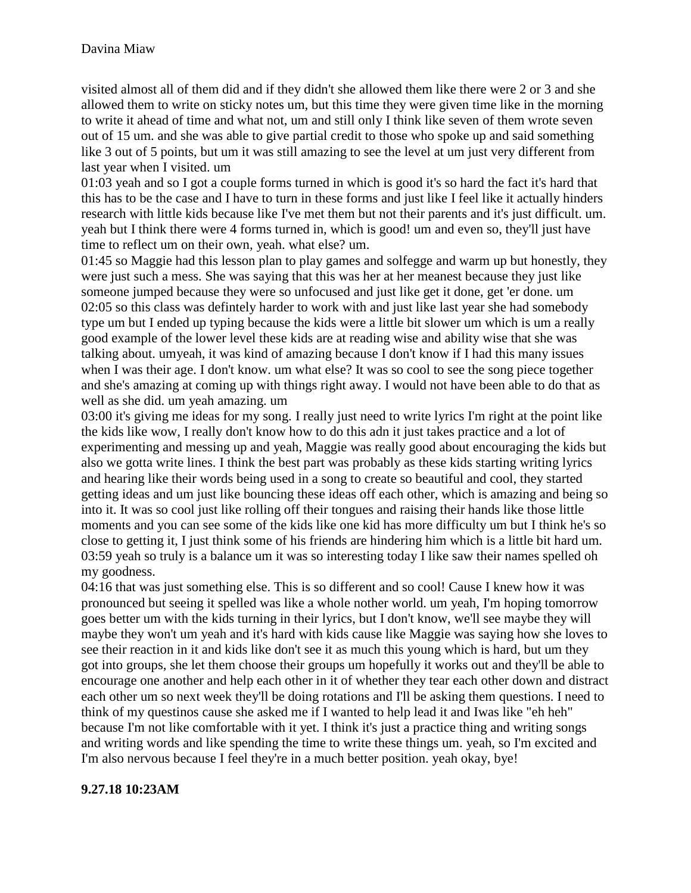visited almost all of them did and if they didn't she allowed them like there were 2 or 3 and she allowed them to write on sticky notes um, but this time they were given time like in the morning to write it ahead of time and what not, um and still only I think like seven of them wrote seven out of 15 um. and she was able to give partial credit to those who spoke up and said something like 3 out of 5 points, but um it was still amazing to see the level at um just very different from last year when I visited. um

01:03 yeah and so I got a couple forms turned in which is good it's so hard the fact it's hard that this has to be the case and I have to turn in these forms and just like I feel like it actually hinders research with little kids because like I've met them but not their parents and it's just difficult. um. yeah but I think there were 4 forms turned in, which is good! um and even so, they'll just have time to reflect um on their own, yeah. what else? um.

01:45 so Maggie had this lesson plan to play games and solfegge and warm up but honestly, they were just such a mess. She was saying that this was her at her meanest because they just like someone jumped because they were so unfocused and just like get it done, get 'er done. um 02:05 so this class was defintely harder to work with and just like last year she had somebody type um but I ended up typing because the kids were a little bit slower um which is um a really good example of the lower level these kids are at reading wise and ability wise that she was talking about. umyeah, it was kind of amazing because I don't know if I had this many issues when I was their age. I don't know. um what else? It was so cool to see the song piece together and she's amazing at coming up with things right away. I would not have been able to do that as well as she did. um yeah amazing. um

03:00 it's giving me ideas for my song. I really just need to write lyrics I'm right at the point like the kids like wow, I really don't know how to do this adn it just takes practice and a lot of experimenting and messing up and yeah, Maggie was really good about encouraging the kids but also we gotta write lines. I think the best part was probably as these kids starting writing lyrics and hearing like their words being used in a song to create so beautiful and cool, they started getting ideas and um just like bouncing these ideas off each other, which is amazing and being so into it. It was so cool just like rolling off their tongues and raising their hands like those little moments and you can see some of the kids like one kid has more difficulty um but I think he's so close to getting it, I just think some of his friends are hindering him which is a little bit hard um. 03:59 yeah so truly is a balance um it was so interesting today I like saw their names spelled oh my goodness.

04:16 that was just something else. This is so different and so cool! Cause I knew how it was pronounced but seeing it spelled was like a whole nother world. um yeah, I'm hoping tomorrow goes better um with the kids turning in their lyrics, but I don't know, we'll see maybe they will maybe they won't um yeah and it's hard with kids cause like Maggie was saying how she loves to see their reaction in it and kids like don't see it as much this young which is hard, but um they got into groups, she let them choose their groups um hopefully it works out and they'll be able to encourage one another and help each other in it of whether they tear each other down and distract each other um so next week they'll be doing rotations and I'll be asking them questions. I need to think of my questinos cause she asked me if I wanted to help lead it and Iwas like "eh heh" because I'm not like comfortable with it yet. I think it's just a practice thing and writing songs and writing words and like spending the time to write these things um. yeah, so I'm excited and I'm also nervous because I feel they're in a much better position. yeah okay, bye!

### **9.27.18 10:23AM**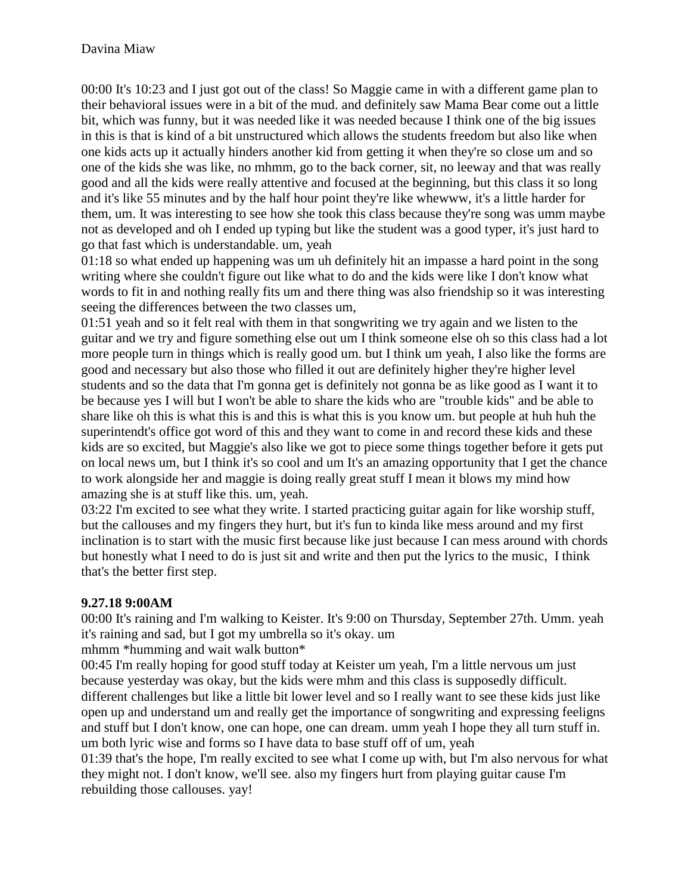00:00 It's 10:23 and I just got out of the class! So Maggie came in with a different game plan to their behavioral issues were in a bit of the mud. and definitely saw Mama Bear come out a little bit, which was funny, but it was needed like it was needed because I think one of the big issues in this is that is kind of a bit unstructured which allows the students freedom but also like when one kids acts up it actually hinders another kid from getting it when they're so close um and so one of the kids she was like, no mhmm, go to the back corner, sit, no leeway and that was really good and all the kids were really attentive and focused at the beginning, but this class it so long and it's like 55 minutes and by the half hour point they're like whewww, it's a little harder for them, um. It was interesting to see how she took this class because they're song was umm maybe not as developed and oh I ended up typing but like the student was a good typer, it's just hard to go that fast which is understandable. um, yeah

01:18 so what ended up happening was um uh definitely hit an impasse a hard point in the song writing where she couldn't figure out like what to do and the kids were like I don't know what words to fit in and nothing really fits um and there thing was also friendship so it was interesting seeing the differences between the two classes um,

01:51 yeah and so it felt real with them in that songwriting we try again and we listen to the guitar and we try and figure something else out um I think someone else oh so this class had a lot more people turn in things which is really good um. but I think um yeah, I also like the forms are good and necessary but also those who filled it out are definitely higher they're higher level students and so the data that I'm gonna get is definitely not gonna be as like good as I want it to be because yes I will but I won't be able to share the kids who are "trouble kids" and be able to share like oh this is what this is and this is what this is you know um. but people at huh huh the superintendt's office got word of this and they want to come in and record these kids and these kids are so excited, but Maggie's also like we got to piece some things together before it gets put on local news um, but I think it's so cool and um It's an amazing opportunity that I get the chance to work alongside her and maggie is doing really great stuff I mean it blows my mind how amazing she is at stuff like this. um, yeah.

03:22 I'm excited to see what they write. I started practicing guitar again for like worship stuff, but the callouses and my fingers they hurt, but it's fun to kinda like mess around and my first inclination is to start with the music first because like just because I can mess around with chords but honestly what I need to do is just sit and write and then put the lyrics to the music, I think that's the better first step.

### **9.27.18 9:00AM**

00:00 It's raining and I'm walking to Keister. It's 9:00 on Thursday, September 27th. Umm. yeah it's raining and sad, but I got my umbrella so it's okay. um

mhmm \*humming and wait walk button\*

00:45 I'm really hoping for good stuff today at Keister um yeah, I'm a little nervous um just because yesterday was okay, but the kids were mhm and this class is supposedly difficult. different challenges but like a little bit lower level and so I really want to see these kids just like open up and understand um and really get the importance of songwriting and expressing feeligns and stuff but I don't know, one can hope, one can dream. umm yeah I hope they all turn stuff in. um both lyric wise and forms so I have data to base stuff off of um, yeah

01:39 that's the hope, I'm really excited to see what I come up with, but I'm also nervous for what they might not. I don't know, we'll see. also my fingers hurt from playing guitar cause I'm rebuilding those callouses. yay!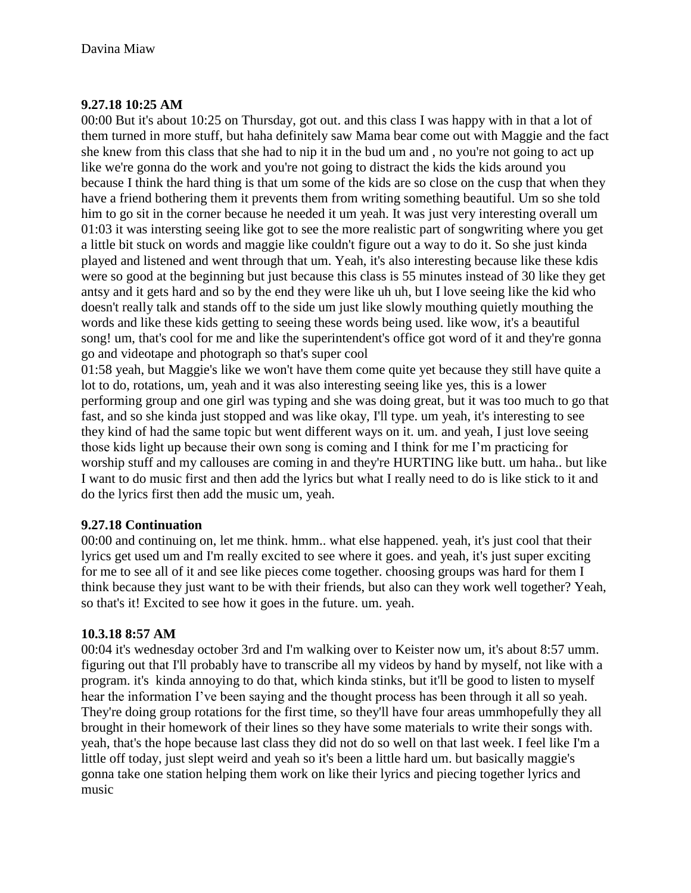### **9.27.18 10:25 AM**

00:00 But it's about 10:25 on Thursday, got out. and this class I was happy with in that a lot of them turned in more stuff, but haha definitely saw Mama bear come out with Maggie and the fact she knew from this class that she had to nip it in the bud um and , no you're not going to act up like we're gonna do the work and you're not going to distract the kids the kids around you because I think the hard thing is that um some of the kids are so close on the cusp that when they have a friend bothering them it prevents them from writing something beautiful. Um so she told him to go sit in the corner because he needed it um yeah. It was just very interesting overall um 01:03 it was intersting seeing like got to see the more realistic part of songwriting where you get a little bit stuck on words and maggie like couldn't figure out a way to do it. So she just kinda played and listened and went through that um. Yeah, it's also interesting because like these kdis were so good at the beginning but just because this class is 55 minutes instead of 30 like they get antsy and it gets hard and so by the end they were like uh uh, but I love seeing like the kid who doesn't really talk and stands off to the side um just like slowly mouthing quietly mouthing the words and like these kids getting to seeing these words being used. like wow, it's a beautiful song! um, that's cool for me and like the superintendent's office got word of it and they're gonna go and videotape and photograph so that's super cool

01:58 yeah, but Maggie's like we won't have them come quite yet because they still have quite a lot to do, rotations, um, yeah and it was also interesting seeing like yes, this is a lower performing group and one girl was typing and she was doing great, but it was too much to go that fast, and so she kinda just stopped and was like okay, I'll type. um yeah, it's interesting to see they kind of had the same topic but went different ways on it. um. and yeah, I just love seeing those kids light up because their own song is coming and I think for me I'm practicing for worship stuff and my callouses are coming in and they're HURTING like butt. um haha.. but like I want to do music first and then add the lyrics but what I really need to do is like stick to it and do the lyrics first then add the music um, yeah.

### **9.27.18 Continuation**

00:00 and continuing on, let me think. hmm.. what else happened. yeah, it's just cool that their lyrics get used um and I'm really excited to see where it goes. and yeah, it's just super exciting for me to see all of it and see like pieces come together. choosing groups was hard for them I think because they just want to be with their friends, but also can they work well together? Yeah, so that's it! Excited to see how it goes in the future. um. yeah.

### **10.3.18 8:57 AM**

00:04 it's wednesday october 3rd and I'm walking over to Keister now um, it's about 8:57 umm. figuring out that I'll probably have to transcribe all my videos by hand by myself, not like with a program. it's kinda annoying to do that, which kinda stinks, but it'll be good to listen to myself hear the information I've been saying and the thought process has been through it all so yeah. They're doing group rotations for the first time, so they'll have four areas ummhopefully they all brought in their homework of their lines so they have some materials to write their songs with. yeah, that's the hope because last class they did not do so well on that last week. I feel like I'm a little off today, just slept weird and yeah so it's been a little hard um. but basically maggie's gonna take one station helping them work on like their lyrics and piecing together lyrics and music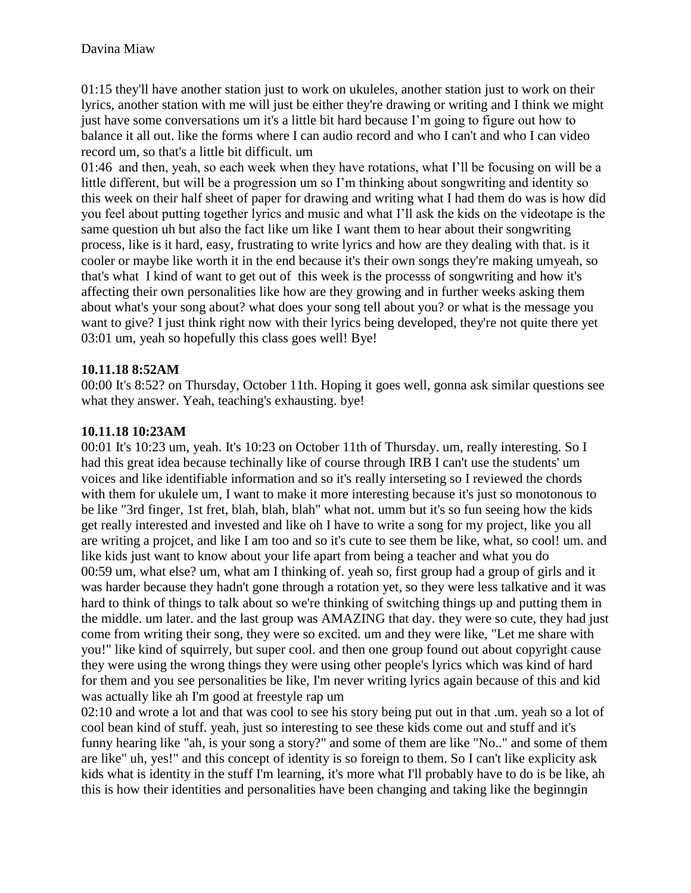01:15 they'll have another station just to work on ukuleles, another station just to work on their lyrics, another station with me will just be either they're drawing or writing and I think we might just have some conversations um it's a little bit hard because I'm going to figure out how to balance it all out. like the forms where I can audio record and who I can't and who I can video record um, so that's a little bit difficult. um

01:46 and then, yeah, so each week when they have rotations, what I'll be focusing on will be a little different, but will be a progression um so I'm thinking about songwriting and identity so this week on their half sheet of paper for drawing and writing what I had them do was is how did you feel about putting together lyrics and music and what I'll ask the kids on the videotape is the same question uh but also the fact like um like I want them to hear about their songwriting process, like is it hard, easy, frustrating to write lyrics and how are they dealing with that. is it cooler or maybe like worth it in the end because it's their own songs they're making umyeah, so that's what I kind of want to get out of this week is the processs of songwriting and how it's affecting their own personalities like how are they growing and in further weeks asking them about what's your song about? what does your song tell about you? or what is the message you want to give? I just think right now with their lyrics being developed, they're not quite there yet 03:01 um, yeah so hopefully this class goes well! Bye!

#### **10.11.18 8:52AM**

00:00 It's 8:52? on Thursday, October 11th. Hoping it goes well, gonna ask similar questions see what they answer. Yeah, teaching's exhausting. bye!

#### **10.11.18 10:23AM**

00:01 It's 10:23 um, yeah. It's 10:23 on October 11th of Thursday. um, really interesting. So I had this great idea because techinally like of course through IRB I can't use the students' um voices and like identifiable information and so it's really interseting so I reviewed the chords with them for ukulele um, I want to make it more interesting because it's just so monotonous to be like "3rd finger, 1st fret, blah, blah, blah" what not. umm but it's so fun seeing how the kids get really interested and invested and like oh I have to write a song for my project, like you all are writing a projcet, and like I am too and so it's cute to see them be like, what, so cool! um. and like kids just want to know about your life apart from being a teacher and what you do 00:59 um, what else? um, what am I thinking of. yeah so, first group had a group of girls and it was harder because they hadn't gone through a rotation yet, so they were less talkative and it was hard to think of things to talk about so we're thinking of switching things up and putting them in the middle. um later. and the last group was AMAZING that day. they were so cute, they had just come from writing their song, they were so excited. um and they were like, "Let me share with you!" like kind of squirrely, but super cool. and then one group found out about copyright cause they were using the wrong things they were using other people's lyrics which was kind of hard for them and you see personalities be like, I'm never writing lyrics again because of this and kid was actually like ah I'm good at freestyle rap um

02:10 and wrote a lot and that was cool to see his story being put out in that .um. yeah so a lot of cool bean kind of stuff. yeah, just so interesting to see these kids come out and stuff and it's funny hearing like "ah, is your song a story?" and some of them are like "No.." and some of them are like" uh, yes!" and this concept of identity is so foreign to them. So I can't like explicity ask kids what is identity in the stuff I'm learning, it's more what I'll probably have to do is be like, ah this is how their identities and personalities have been changing and taking like the beginngin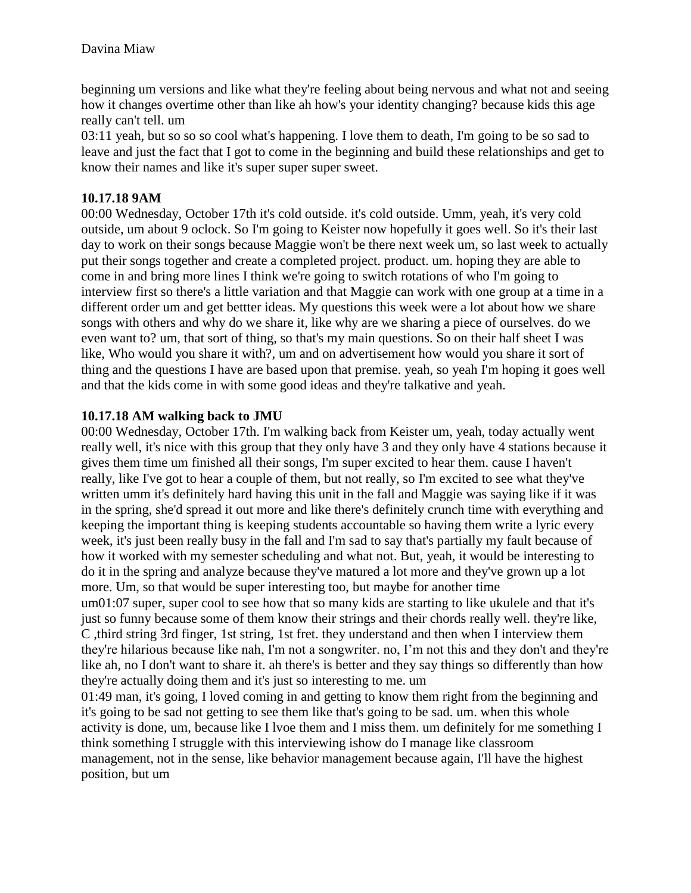beginning um versions and like what they're feeling about being nervous and what not and seeing how it changes overtime other than like ah how's your identity changing? because kids this age really can't tell. um

03:11 yeah, but so so so cool what's happening. I love them to death, I'm going to be so sad to leave and just the fact that I got to come in the beginning and build these relationships and get to know their names and like it's super super super sweet.

### **10.17.18 9AM**

00:00 Wednesday, October 17th it's cold outside. it's cold outside. Umm, yeah, it's very cold outside, um about 9 oclock. So I'm going to Keister now hopefully it goes well. So it's their last day to work on their songs because Maggie won't be there next week um, so last week to actually put their songs together and create a completed project. product. um. hoping they are able to come in and bring more lines I think we're going to switch rotations of who I'm going to interview first so there's a little variation and that Maggie can work with one group at a time in a different order um and get bettter ideas. My questions this week were a lot about how we share songs with others and why do we share it, like why are we sharing a piece of ourselves. do we even want to? um, that sort of thing, so that's my main questions. So on their half sheet I was like, Who would you share it with?, um and on advertisement how would you share it sort of thing and the questions I have are based upon that premise. yeah, so yeah I'm hoping it goes well and that the kids come in with some good ideas and they're talkative and yeah.

### **10.17.18 AM walking back to JMU**

00:00 Wednesday, October 17th. I'm walking back from Keister um, yeah, today actually went really well, it's nice with this group that they only have 3 and they only have 4 stations because it gives them time um finished all their songs, I'm super excited to hear them. cause I haven't really, like I've got to hear a couple of them, but not really, so I'm excited to see what they've written umm it's definitely hard having this unit in the fall and Maggie was saying like if it was in the spring, she'd spread it out more and like there's definitely crunch time with everything and keeping the important thing is keeping students accountable so having them write a lyric every week, it's just been really busy in the fall and I'm sad to say that's partially my fault because of how it worked with my semester scheduling and what not. But, yeah, it would be interesting to do it in the spring and analyze because they've matured a lot more and they've grown up a lot more. Um, so that would be super interesting too, but maybe for another time um01:07 super, super cool to see how that so many kids are starting to like ukulele and that it's

just so funny because some of them know their strings and their chords really well. they're like, C ,third string 3rd finger, 1st string, 1st fret. they understand and then when I interview them they're hilarious because like nah, I'm not a songwriter. no, I'm not this and they don't and they're like ah, no I don't want to share it. ah there's is better and they say things so differently than how they're actually doing them and it's just so interesting to me. um

01:49 man, it's going, I loved coming in and getting to know them right from the beginning and it's going to be sad not getting to see them like that's going to be sad. um. when this whole activity is done, um, because like I lvoe them and I miss them. um definitely for me something I think something I struggle with this interviewing ishow do I manage like classroom management, not in the sense, like behavior management because again, I'll have the highest position, but um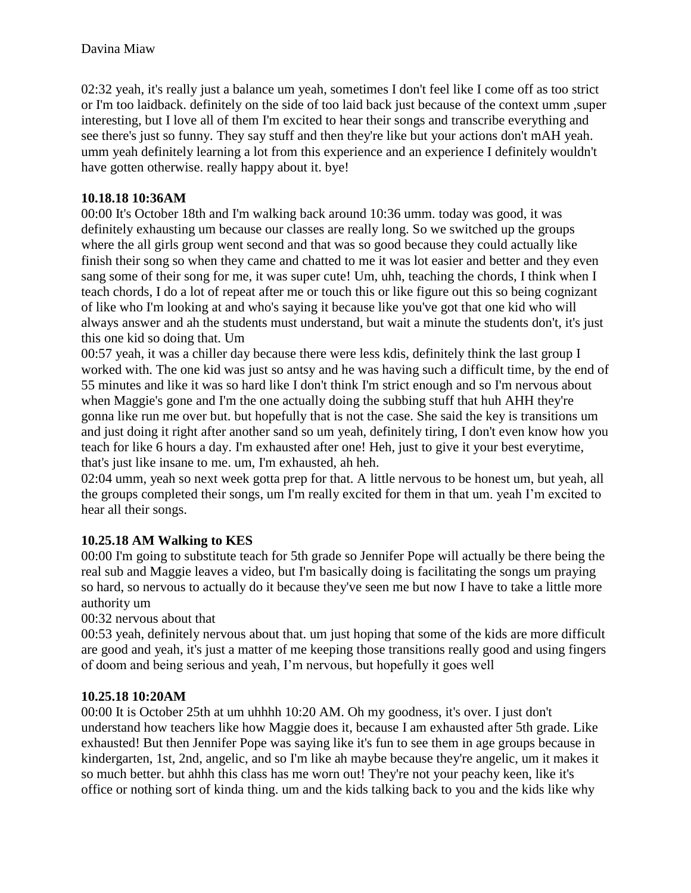02:32 yeah, it's really just a balance um yeah, sometimes I don't feel like I come off as too strict or I'm too laidback. definitely on the side of too laid back just because of the context umm ,super interesting, but I love all of them I'm excited to hear their songs and transcribe everything and see there's just so funny. They say stuff and then they're like but your actions don't mAH yeah. umm yeah definitely learning a lot from this experience and an experience I definitely wouldn't have gotten otherwise. really happy about it. bye!

#### **10.18.18 10:36AM**

00:00 It's October 18th and I'm walking back around 10:36 umm. today was good, it was definitely exhausting um because our classes are really long. So we switched up the groups where the all girls group went second and that was so good because they could actually like finish their song so when they came and chatted to me it was lot easier and better and they even sang some of their song for me, it was super cute! Um, uhh, teaching the chords, I think when I teach chords, I do a lot of repeat after me or touch this or like figure out this so being cognizant of like who I'm looking at and who's saying it because like you've got that one kid who will always answer and ah the students must understand, but wait a minute the students don't, it's just this one kid so doing that. Um

00:57 yeah, it was a chiller day because there were less kdis, definitely think the last group I worked with. The one kid was just so antsy and he was having such a difficult time, by the end of 55 minutes and like it was so hard like I don't think I'm strict enough and so I'm nervous about when Maggie's gone and I'm the one actually doing the subbing stuff that huh AHH they're gonna like run me over but. but hopefully that is not the case. She said the key is transitions um and just doing it right after another sand so um yeah, definitely tiring, I don't even know how you teach for like 6 hours a day. I'm exhausted after one! Heh, just to give it your best everytime, that's just like insane to me. um, I'm exhausted, ah heh.

02:04 umm, yeah so next week gotta prep for that. A little nervous to be honest um, but yeah, all the groups completed their songs, um I'm really excited for them in that um. yeah I'm excited to hear all their songs.

### **10.25.18 AM Walking to KES**

00:00 I'm going to substitute teach for 5th grade so Jennifer Pope will actually be there being the real sub and Maggie leaves a video, but I'm basically doing is facilitating the songs um praying so hard, so nervous to actually do it because they've seen me but now I have to take a little more authority um

00:32 nervous about that

00:53 yeah, definitely nervous about that. um just hoping that some of the kids are more difficult are good and yeah, it's just a matter of me keeping those transitions really good and using fingers of doom and being serious and yeah, I'm nervous, but hopefully it goes well

#### **10.25.18 10:20AM**

00:00 It is October 25th at um uhhhh 10:20 AM. Oh my goodness, it's over. I just don't understand how teachers like how Maggie does it, because I am exhausted after 5th grade. Like exhausted! But then Jennifer Pope was saying like it's fun to see them in age groups because in kindergarten, 1st, 2nd, angelic, and so I'm like ah maybe because they're angelic, um it makes it so much better. but ahhh this class has me worn out! They're not your peachy keen, like it's office or nothing sort of kinda thing. um and the kids talking back to you and the kids like why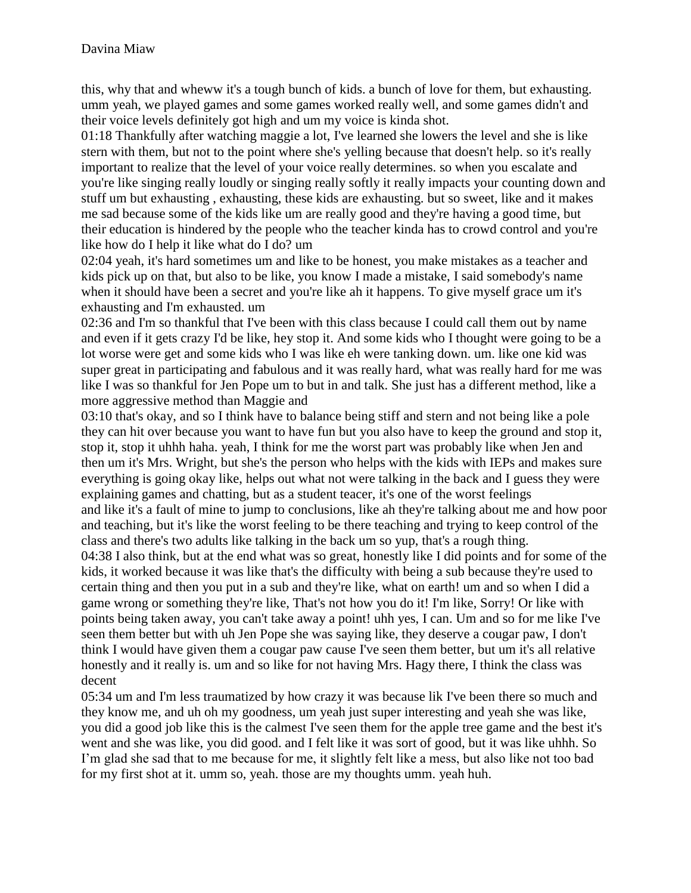this, why that and wheww it's a tough bunch of kids. a bunch of love for them, but exhausting. umm yeah, we played games and some games worked really well, and some games didn't and their voice levels definitely got high and um my voice is kinda shot.

01:18 Thankfully after watching maggie a lot, I've learned she lowers the level and she is like stern with them, but not to the point where she's yelling because that doesn't help. so it's really important to realize that the level of your voice really determines. so when you escalate and you're like singing really loudly or singing really softly it really impacts your counting down and stuff um but exhausting , exhausting, these kids are exhausting. but so sweet, like and it makes me sad because some of the kids like um are really good and they're having a good time, but their education is hindered by the people who the teacher kinda has to crowd control and you're like how do I help it like what do I do? um

02:04 yeah, it's hard sometimes um and like to be honest, you make mistakes as a teacher and kids pick up on that, but also to be like, you know I made a mistake, I said somebody's name when it should have been a secret and you're like ah it happens. To give myself grace um it's exhausting and I'm exhausted. um

02:36 and I'm so thankful that I've been with this class because I could call them out by name and even if it gets crazy I'd be like, hey stop it. And some kids who I thought were going to be a lot worse were get and some kids who I was like eh were tanking down. um. like one kid was super great in participating and fabulous and it was really hard, what was really hard for me was like I was so thankful for Jen Pope um to but in and talk. She just has a different method, like a more aggressive method than Maggie and

03:10 that's okay, and so I think have to balance being stiff and stern and not being like a pole they can hit over because you want to have fun but you also have to keep the ground and stop it, stop it, stop it uhhh haha. yeah, I think for me the worst part was probably like when Jen and then um it's Mrs. Wright, but she's the person who helps with the kids with IEPs and makes sure everything is going okay like, helps out what not were talking in the back and I guess they were explaining games and chatting, but as a student teacer, it's one of the worst feelings and like it's a fault of mine to jump to conclusions, like ah they're talking about me and how poor and teaching, but it's like the worst feeling to be there teaching and trying to keep control of the class and there's two adults like talking in the back um so yup, that's a rough thing.

04:38 I also think, but at the end what was so great, honestly like I did points and for some of the kids, it worked because it was like that's the difficulty with being a sub because they're used to certain thing and then you put in a sub and they're like, what on earth! um and so when I did a game wrong or something they're like, That's not how you do it! I'm like, Sorry! Or like with points being taken away, you can't take away a point! uhh yes, I can. Um and so for me like I've seen them better but with uh Jen Pope she was saying like, they deserve a cougar paw, I don't think I would have given them a cougar paw cause I've seen them better, but um it's all relative honestly and it really is. um and so like for not having Mrs. Hagy there, I think the class was decent

05:34 um and I'm less traumatized by how crazy it was because lik I've been there so much and they know me, and uh oh my goodness, um yeah just super interesting and yeah she was like, you did a good job like this is the calmest I've seen them for the apple tree game and the best it's went and she was like, you did good. and I felt like it was sort of good, but it was like uhhh. So I'm glad she sad that to me because for me, it slightly felt like a mess, but also like not too bad for my first shot at it. umm so, yeah. those are my thoughts umm. yeah huh.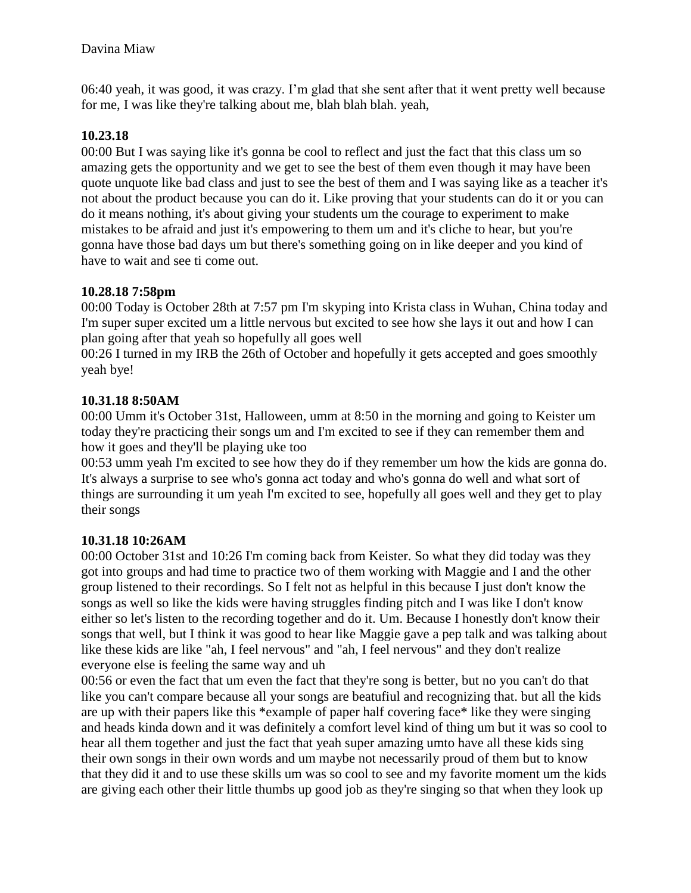06:40 yeah, it was good, it was crazy. I'm glad that she sent after that it went pretty well because for me, I was like they're talking about me, blah blah blah. yeah,

### **10.23.18**

00:00 But I was saying like it's gonna be cool to reflect and just the fact that this class um so amazing gets the opportunity and we get to see the best of them even though it may have been quote unquote like bad class and just to see the best of them and I was saying like as a teacher it's not about the product because you can do it. Like proving that your students can do it or you can do it means nothing, it's about giving your students um the courage to experiment to make mistakes to be afraid and just it's empowering to them um and it's cliche to hear, but you're gonna have those bad days um but there's something going on in like deeper and you kind of have to wait and see ti come out.

### **10.28.18 7:58pm**

00:00 Today is October 28th at 7:57 pm I'm skyping into Krista class in Wuhan, China today and I'm super super excited um a little nervous but excited to see how she lays it out and how I can plan going after that yeah so hopefully all goes well

00:26 I turned in my IRB the 26th of October and hopefully it gets accepted and goes smoothly yeah bye!

### **10.31.18 8:50AM**

00:00 Umm it's October 31st, Halloween, umm at 8:50 in the morning and going to Keister um today they're practicing their songs um and I'm excited to see if they can remember them and how it goes and they'll be playing uke too

00:53 umm yeah I'm excited to see how they do if they remember um how the kids are gonna do. It's always a surprise to see who's gonna act today and who's gonna do well and what sort of things are surrounding it um yeah I'm excited to see, hopefully all goes well and they get to play their songs

### **10.31.18 10:26AM**

00:00 October 31st and 10:26 I'm coming back from Keister. So what they did today was they got into groups and had time to practice two of them working with Maggie and I and the other group listened to their recordings. So I felt not as helpful in this because I just don't know the songs as well so like the kids were having struggles finding pitch and I was like I don't know either so let's listen to the recording together and do it. Um. Because I honestly don't know their songs that well, but I think it was good to hear like Maggie gave a pep talk and was talking about like these kids are like "ah, I feel nervous" and "ah, I feel nervous" and they don't realize everyone else is feeling the same way and uh

00:56 or even the fact that um even the fact that they're song is better, but no you can't do that like you can't compare because all your songs are beatufiul and recognizing that. but all the kids are up with their papers like this \*example of paper half covering face\* like they were singing and heads kinda down and it was definitely a comfort level kind of thing um but it was so cool to hear all them together and just the fact that yeah super amazing umto have all these kids sing their own songs in their own words and um maybe not necessarily proud of them but to know that they did it and to use these skills um was so cool to see and my favorite moment um the kids are giving each other their little thumbs up good job as they're singing so that when they look up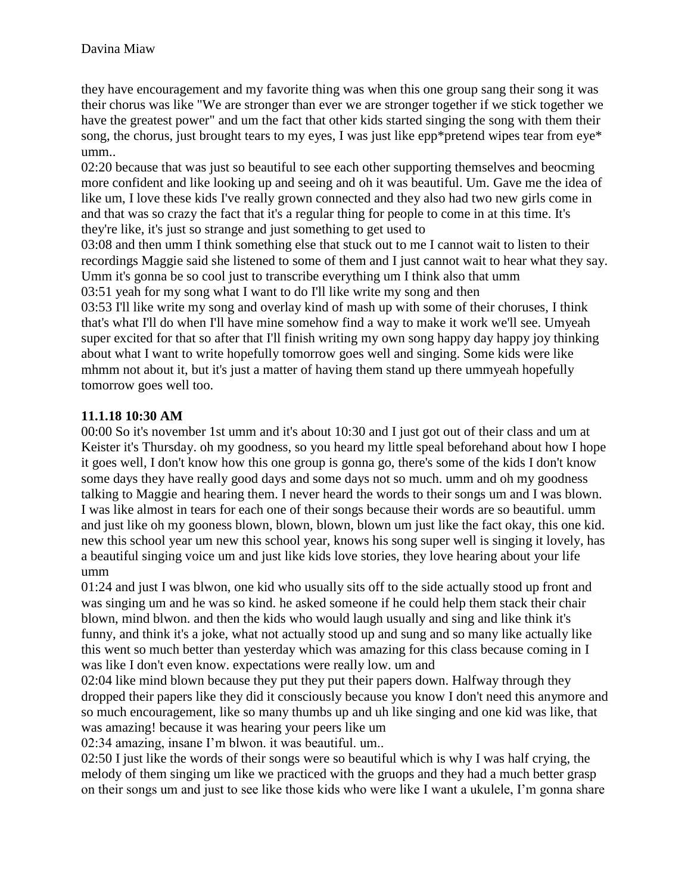they have encouragement and my favorite thing was when this one group sang their song it was their chorus was like "We are stronger than ever we are stronger together if we stick together we have the greatest power" and um the fact that other kids started singing the song with them their song, the chorus, just brought tears to my eyes, I was just like epp\*pretend wipes tear from eye\* umm..

02:20 because that was just so beautiful to see each other supporting themselves and beocming more confident and like looking up and seeing and oh it was beautiful. Um. Gave me the idea of like um, I love these kids I've really grown connected and they also had two new girls come in and that was so crazy the fact that it's a regular thing for people to come in at this time. It's they're like, it's just so strange and just something to get used to

03:08 and then umm I think something else that stuck out to me I cannot wait to listen to their recordings Maggie said she listened to some of them and I just cannot wait to hear what they say. Umm it's gonna be so cool just to transcribe everything um I think also that umm 03:51 yeah for my song what I want to do I'll like write my song and then

03:53 I'll like write my song and overlay kind of mash up with some of their choruses, I think that's what I'll do when I'll have mine somehow find a way to make it work we'll see. Umyeah super excited for that so after that I'll finish writing my own song happy day happy joy thinking about what I want to write hopefully tomorrow goes well and singing. Some kids were like mhmm not about it, but it's just a matter of having them stand up there ummyeah hopefully tomorrow goes well too.

# **11.1.18 10:30 AM**

00:00 So it's november 1st umm and it's about 10:30 and I just got out of their class and um at Keister it's Thursday. oh my goodness, so you heard my little speal beforehand about how I hope it goes well, I don't know how this one group is gonna go, there's some of the kids I don't know some days they have really good days and some days not so much. umm and oh my goodness talking to Maggie and hearing them. I never heard the words to their songs um and I was blown. I was like almost in tears for each one of their songs because their words are so beautiful. umm and just like oh my gooness blown, blown, blown, blown um just like the fact okay, this one kid. new this school year um new this school year, knows his song super well is singing it lovely, has a beautiful singing voice um and just like kids love stories, they love hearing about your life umm

01:24 and just I was blwon, one kid who usually sits off to the side actually stood up front and was singing um and he was so kind. he asked someone if he could help them stack their chair blown, mind blwon. and then the kids who would laugh usually and sing and like think it's funny, and think it's a joke, what not actually stood up and sung and so many like actually like this went so much better than yesterday which was amazing for this class because coming in I was like I don't even know. expectations were really low. um and

02:04 like mind blown because they put they put their papers down. Halfway through they dropped their papers like they did it consciously because you know I don't need this anymore and so much encouragement, like so many thumbs up and uh like singing and one kid was like, that was amazing! because it was hearing your peers like um

02:34 amazing, insane I'm blwon. it was beautiful. um..

02:50 I just like the words of their songs were so beautiful which is why I was half crying, the melody of them singing um like we practiced with the gruops and they had a much better grasp on their songs um and just to see like those kids who were like I want a ukulele, I'm gonna share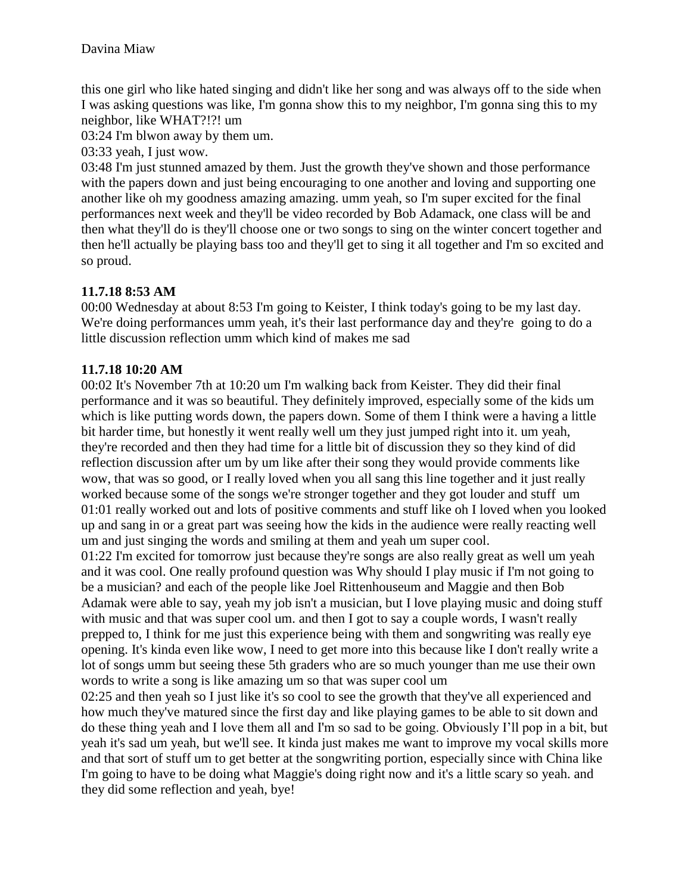this one girl who like hated singing and didn't like her song and was always off to the side when I was asking questions was like, I'm gonna show this to my neighbor, I'm gonna sing this to my neighbor, like WHAT?!?! um

03:24 I'm blwon away by them um.

03:33 yeah, I just wow.

03:48 I'm just stunned amazed by them. Just the growth they've shown and those performance with the papers down and just being encouraging to one another and loving and supporting one another like oh my goodness amazing amazing. umm yeah, so I'm super excited for the final performances next week and they'll be video recorded by Bob Adamack, one class will be and then what they'll do is they'll choose one or two songs to sing on the winter concert together and then he'll actually be playing bass too and they'll get to sing it all together and I'm so excited and so proud.

# **11.7.18 8:53 AM**

00:00 Wednesday at about 8:53 I'm going to Keister, I think today's going to be my last day. We're doing performances umm yeah, it's their last performance day and they're going to do a little discussion reflection umm which kind of makes me sad

# **11.7.18 10:20 AM**

00:02 It's November 7th at 10:20 um I'm walking back from Keister. They did their final performance and it was so beautiful. They definitely improved, especially some of the kids um which is like putting words down, the papers down. Some of them I think were a having a little bit harder time, but honestly it went really well um they just jumped right into it. um yeah, they're recorded and then they had time for a little bit of discussion they so they kind of did reflection discussion after um by um like after their song they would provide comments like wow, that was so good, or I really loved when you all sang this line together and it just really worked because some of the songs we're stronger together and they got louder and stuff um 01:01 really worked out and lots of positive comments and stuff like oh I loved when you looked up and sang in or a great part was seeing how the kids in the audience were really reacting well um and just singing the words and smiling at them and yeah um super cool.

01:22 I'm excited for tomorrow just because they're songs are also really great as well um yeah and it was cool. One really profound question was Why should I play music if I'm not going to be a musician? and each of the people like Joel Rittenhouseum and Maggie and then Bob Adamak were able to say, yeah my job isn't a musician, but I love playing music and doing stuff with music and that was super cool um. and then I got to say a couple words, I wasn't really prepped to, I think for me just this experience being with them and songwriting was really eye opening. It's kinda even like wow, I need to get more into this because like I don't really write a lot of songs umm but seeing these 5th graders who are so much younger than me use their own words to write a song is like amazing um so that was super cool um

02:25 and then yeah so I just like it's so cool to see the growth that they've all experienced and how much they've matured since the first day and like playing games to be able to sit down and do these thing yeah and I love them all and I'm so sad to be going. Obviously I'll pop in a bit, but yeah it's sad um yeah, but we'll see. It kinda just makes me want to improve my vocal skills more and that sort of stuff um to get better at the songwriting portion, especially since with China like I'm going to have to be doing what Maggie's doing right now and it's a little scary so yeah. and they did some reflection and yeah, bye!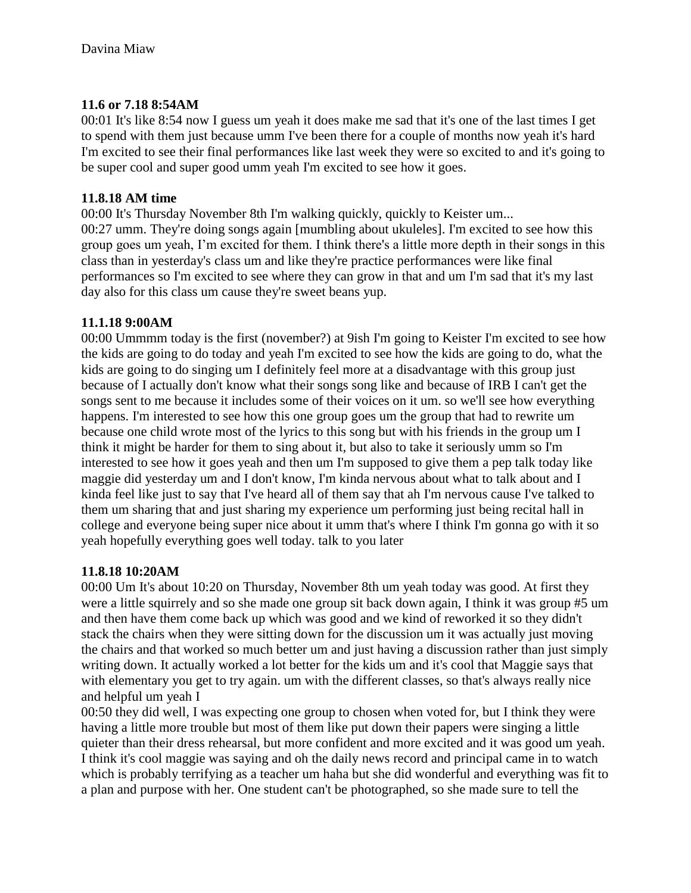### **11.6 or 7.18 8:54AM**

00:01 It's like 8:54 now I guess um yeah it does make me sad that it's one of the last times I get to spend with them just because umm I've been there for a couple of months now yeah it's hard I'm excited to see their final performances like last week they were so excited to and it's going to be super cool and super good umm yeah I'm excited to see how it goes.

### **11.8.18 AM time**

00:00 It's Thursday November 8th I'm walking quickly, quickly to Keister um... 00:27 umm. They're doing songs again [mumbling about ukuleles]. I'm excited to see how this group goes um yeah, I'm excited for them. I think there's a little more depth in their songs in this class than in yesterday's class um and like they're practice performances were like final performances so I'm excited to see where they can grow in that and um I'm sad that it's my last day also for this class um cause they're sweet beans yup.

### **11.1.18 9:00AM**

00:00 Ummmm today is the first (november?) at 9ish I'm going to Keister I'm excited to see how the kids are going to do today and yeah I'm excited to see how the kids are going to do, what the kids are going to do singing um I definitely feel more at a disadvantage with this group just because of I actually don't know what their songs song like and because of IRB I can't get the songs sent to me because it includes some of their voices on it um. so we'll see how everything happens. I'm interested to see how this one group goes um the group that had to rewrite um because one child wrote most of the lyrics to this song but with his friends in the group um I think it might be harder for them to sing about it, but also to take it seriously umm so I'm interested to see how it goes yeah and then um I'm supposed to give them a pep talk today like maggie did yesterday um and I don't know, I'm kinda nervous about what to talk about and I kinda feel like just to say that I've heard all of them say that ah I'm nervous cause I've talked to them um sharing that and just sharing my experience um performing just being recital hall in college and everyone being super nice about it umm that's where I think I'm gonna go with it so yeah hopefully everything goes well today. talk to you later

### **11.8.18 10:20AM**

00:00 Um It's about 10:20 on Thursday, November 8th um yeah today was good. At first they were a little squirrely and so she made one group sit back down again, I think it was group #5 um and then have them come back up which was good and we kind of reworked it so they didn't stack the chairs when they were sitting down for the discussion um it was actually just moving the chairs and that worked so much better um and just having a discussion rather than just simply writing down. It actually worked a lot better for the kids um and it's cool that Maggie says that with elementary you get to try again. um with the different classes, so that's always really nice and helpful um yeah I

00:50 they did well, I was expecting one group to chosen when voted for, but I think they were having a little more trouble but most of them like put down their papers were singing a little quieter than their dress rehearsal, but more confident and more excited and it was good um yeah. I think it's cool maggie was saying and oh the daily news record and principal came in to watch which is probably terrifying as a teacher um haha but she did wonderful and everything was fit to a plan and purpose with her. One student can't be photographed, so she made sure to tell the